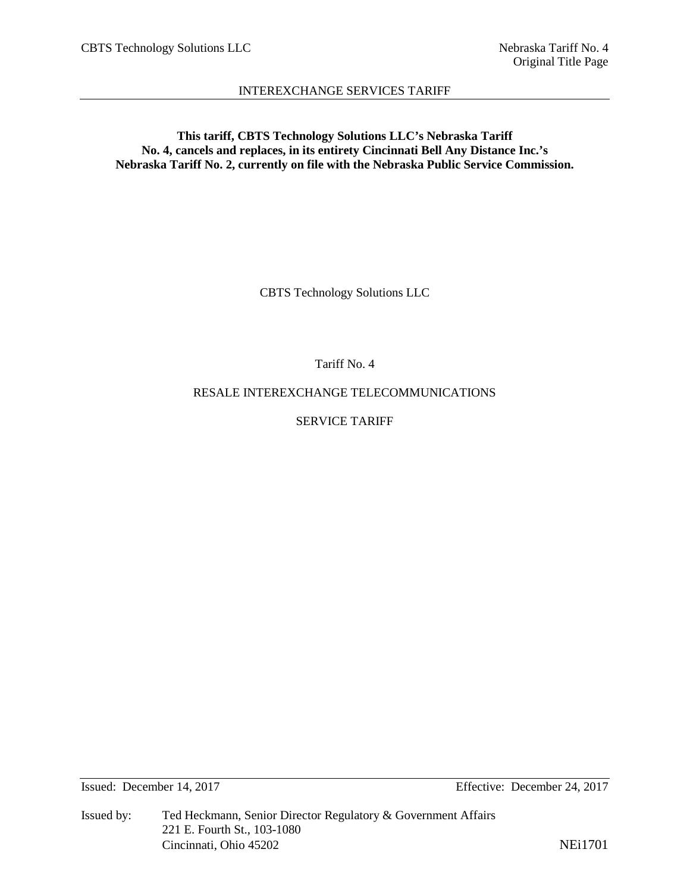**This tariff, CBTS Technology Solutions LLC's Nebraska Tariff No. 4, cancels and replaces, in its entirety Cincinnati Bell Any Distance Inc.'s Nebraska Tariff No. 2, currently on file with the Nebraska Public Service Commission.**

CBTS Technology Solutions LLC

Tariff No. 4

RESALE INTEREXCHANGE TELECOMMUNICATIONS

SERVICE TARIFF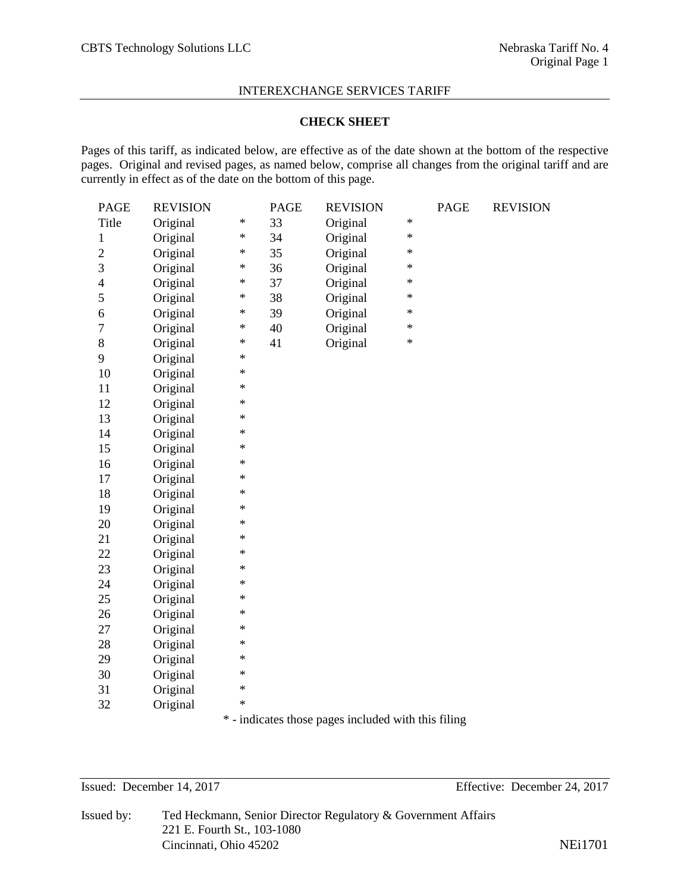#### **CHECK SHEET**

Pages of this tariff, as indicated below, are effective as of the date shown at the bottom of the respective pages. Original and revised pages, as named below, comprise all changes from the original tariff and are currently in effect as of the date on the bottom of this page.

| <b>PAGE</b>              | <b>REVISION</b> |        | <b>PAGE</b> | <b>REVISION</b> |        | <b>PAGE</b> | <b>REVISION</b> |
|--------------------------|-----------------|--------|-------------|-----------------|--------|-------------|-----------------|
| Title                    | Original        | $\ast$ | 33          | Original        | $\ast$ |             |                 |
| $\,1$                    | Original        | $\ast$ | 34          | Original        | $\ast$ |             |                 |
| $\overline{c}$           | Original        | $\ast$ | 35          | Original        | $\ast$ |             |                 |
| 3                        | Original        | $\ast$ | 36          | Original        | $\ast$ |             |                 |
| $\overline{\mathcal{L}}$ | Original        | $\ast$ | 37          | Original        | $\ast$ |             |                 |
| 5                        | Original        | $\ast$ | 38          | Original        | $\ast$ |             |                 |
| 6                        | Original        | $\ast$ | 39          | Original        | $\ast$ |             |                 |
| $\overline{7}$           | Original        | $\ast$ | 40          | Original        | $\ast$ |             |                 |
| 8                        | Original        | $\ast$ | 41          | Original        | $\ast$ |             |                 |
| 9                        | Original        | $\ast$ |             |                 |        |             |                 |
| 10                       | Original        | $\ast$ |             |                 |        |             |                 |
| 11                       | Original        | $\ast$ |             |                 |        |             |                 |
| 12                       | Original        | ∗      |             |                 |        |             |                 |
| 13                       | Original        | $\ast$ |             |                 |        |             |                 |
| 14                       | Original        | $\ast$ |             |                 |        |             |                 |
| 15                       | Original        | $\ast$ |             |                 |        |             |                 |
| 16                       | Original        | $\ast$ |             |                 |        |             |                 |
| 17                       | Original        | $\ast$ |             |                 |        |             |                 |
| 18                       | Original        | $\ast$ |             |                 |        |             |                 |
| 19                       | Original        | $\ast$ |             |                 |        |             |                 |
| 20                       | Original        | $\ast$ |             |                 |        |             |                 |
| 21                       | Original        | $\ast$ |             |                 |        |             |                 |
| 22                       | Original        | $\ast$ |             |                 |        |             |                 |
| 23                       | Original        | $\ast$ |             |                 |        |             |                 |
| 24                       | Original        | $\ast$ |             |                 |        |             |                 |
| 25                       | Original        | $\ast$ |             |                 |        |             |                 |
| 26                       | Original        | $\ast$ |             |                 |        |             |                 |
| 27                       | Original        | $\ast$ |             |                 |        |             |                 |
| 28                       | Original        | ∗      |             |                 |        |             |                 |
| 29                       | Original        | $\ast$ |             |                 |        |             |                 |
| 30                       | Original        | $\ast$ |             |                 |        |             |                 |
| 31                       | Original        | $\ast$ |             |                 |        |             |                 |
| 32                       | Original        | $\ast$ |             |                 |        |             |                 |
|                          |                 |        |             |                 |        |             |                 |

\* - indicates those pages included with this filing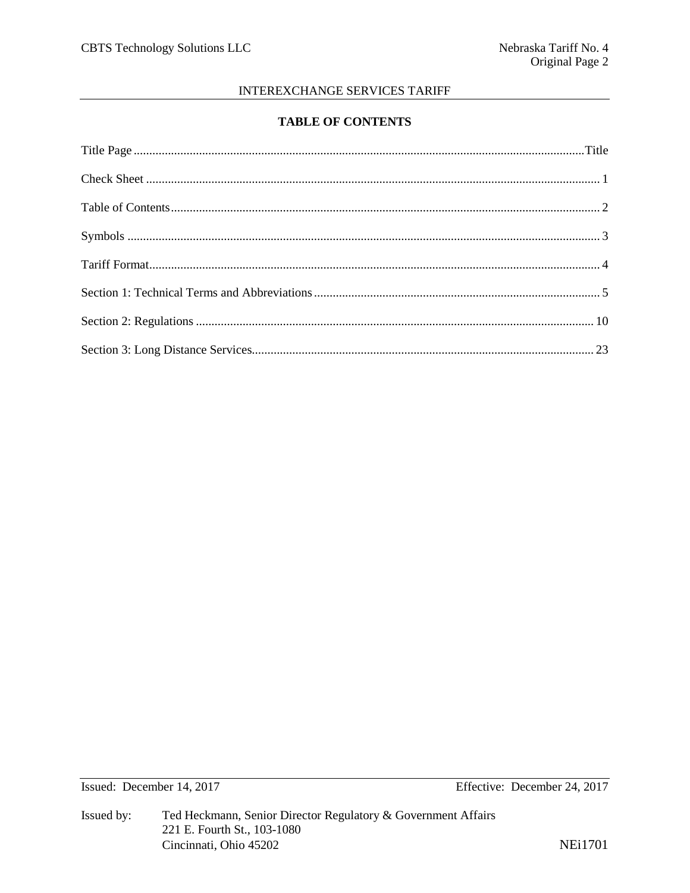# **TABLE OF CONTENTS**

Effective: December 24, 2017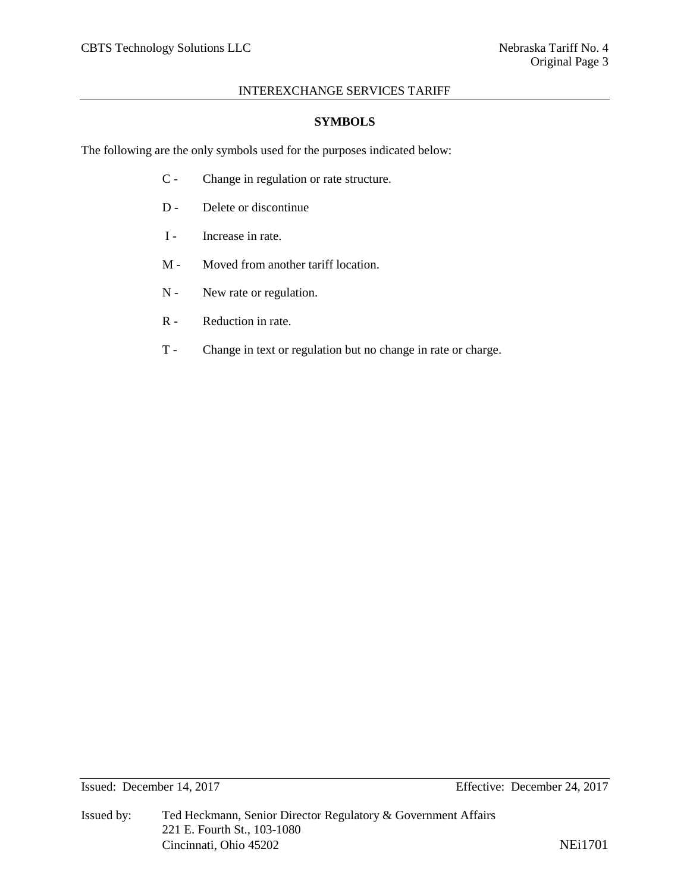#### **SYMBOLS**

The following are the only symbols used for the purposes indicated below:

- C Change in regulation or rate structure.
- D Delete or discontinue
- I Increase in rate.
- M Moved from another tariff location.
- N New rate or regulation.
- R Reduction in rate.
- T Change in text or regulation but no change in rate or charge.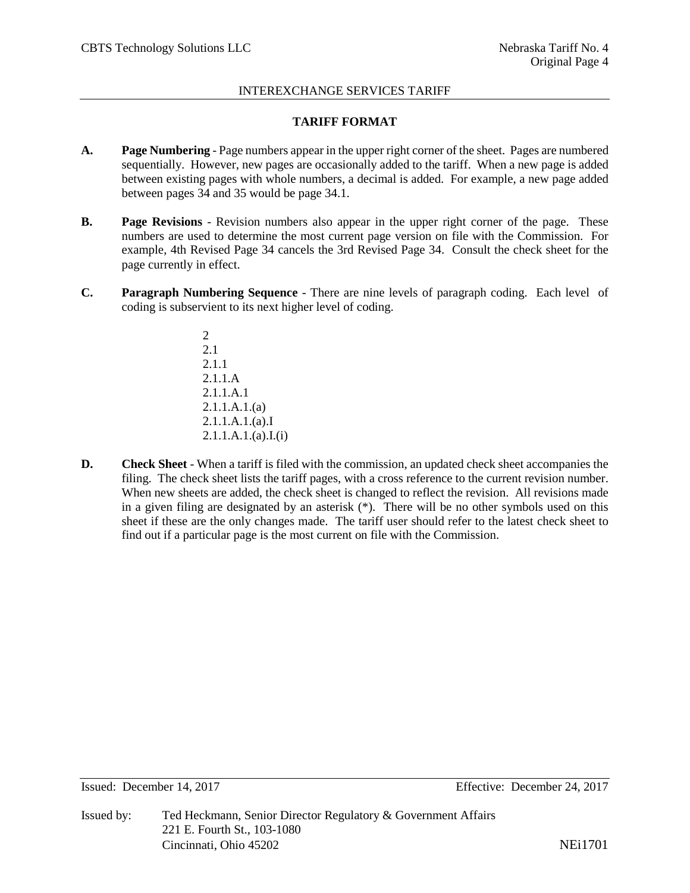# **TARIFF FORMAT**

- **A. Page Numbering** Page numbers appear in the upper right corner of the sheet. Pages are numbered sequentially. However, new pages are occasionally added to the tariff. When a new page is added between existing pages with whole numbers, a decimal is added. For example, a new page added between pages 34 and 35 would be page 34.1.
- **B. Page Revisions** Revision numbers also appear in the upper right corner of the page. These numbers are used to determine the most current page version on file with the Commission. For example, 4th Revised Page 34 cancels the 3rd Revised Page 34. Consult the check sheet for the page currently in effect.
- **C. Paragraph Numbering Sequence** There are nine levels of paragraph coding. Each level of coding is subservient to its next higher level of coding.
	- 2 2.1 2.1.1 2.1.1.A 2.1.1.A.1 2.1.1.A.1.(a) 2.1.1.A.1.(a).I  $2.1.1.A.1.(a).I.(i)$
- **D. Check Sheet** When a tariff is filed with the commission, an updated check sheet accompanies the filing. The check sheet lists the tariff pages, with a cross reference to the current revision number. When new sheets are added, the check sheet is changed to reflect the revision. All revisions made in a given filing are designated by an asterisk (\*). There will be no other symbols used on this sheet if these are the only changes made. The tariff user should refer to the latest check sheet to find out if a particular page is the most current on file with the Commission.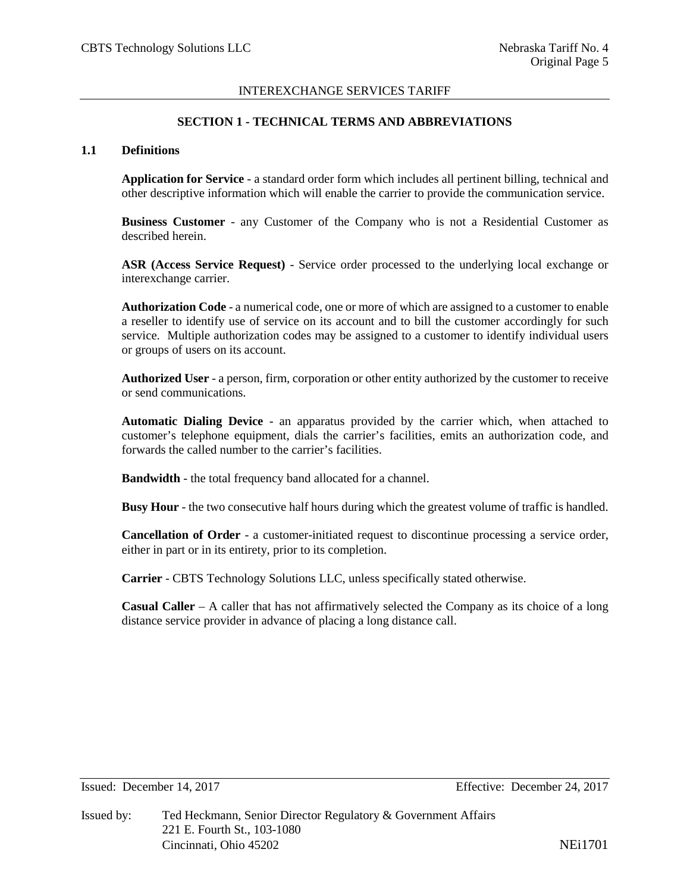## **SECTION 1 - TECHNICAL TERMS AND ABBREVIATIONS**

#### **1.1 Definitions**

**Application for Service** - a standard order form which includes all pertinent billing, technical and other descriptive information which will enable the carrier to provide the communication service.

**Business Customer** - any Customer of the Company who is not a Residential Customer as described herein.

**ASR (Access Service Request)** - Service order processed to the underlying local exchange or interexchange carrier.

**Authorization Code** - a numerical code, one or more of which are assigned to a customer to enable a reseller to identify use of service on its account and to bill the customer accordingly for such service. Multiple authorization codes may be assigned to a customer to identify individual users or groups of users on its account.

**Authorized User** - a person, firm, corporation or other entity authorized by the customer to receive or send communications.

**Automatic Dialing Device** - an apparatus provided by the carrier which, when attached to customer's telephone equipment, dials the carrier's facilities, emits an authorization code, and forwards the called number to the carrier's facilities.

**Bandwidth** - the total frequency band allocated for a channel.

**Busy Hour** - the two consecutive half hours during which the greatest volume of traffic is handled.

**Cancellation of Order** - a customer-initiated request to discontinue processing a service order, either in part or in its entirety, prior to its completion.

**Carrier** - CBTS Technology Solutions LLC, unless specifically stated otherwise.

**Casual Caller** – A caller that has not affirmatively selected the Company as its choice of a long distance service provider in advance of placing a long distance call.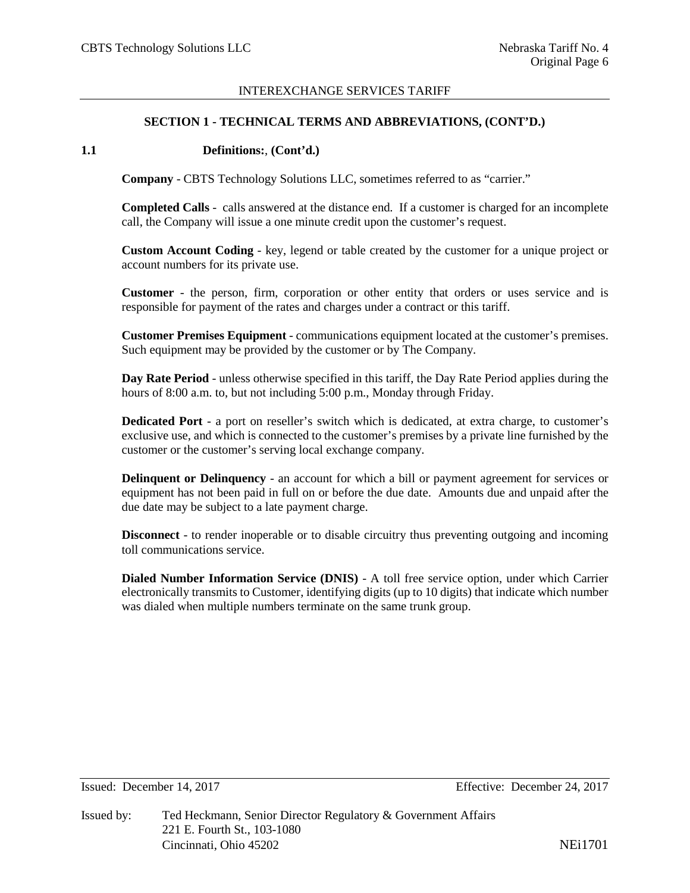#### **SECTION 1 - TECHNICAL TERMS AND ABBREVIATIONS, (CONT'D.)**

#### **1.1 Definitions:**, **(Cont'd.)**

**Company** - CBTS Technology Solutions LLC, sometimes referred to as "carrier."

**Completed Calls** - calls answered at the distance end. If a customer is charged for an incomplete call, the Company will issue a one minute credit upon the customer's request.

**Custom Account Coding** - key, legend or table created by the customer for a unique project or account numbers for its private use.

**Customer** - the person, firm, corporation or other entity that orders or uses service and is responsible for payment of the rates and charges under a contract or this tariff.

**Customer Premises Equipment** - communications equipment located at the customer's premises. Such equipment may be provided by the customer or by The Company.

**Day Rate Period** - unless otherwise specified in this tariff, the Day Rate Period applies during the hours of 8:00 a.m. to, but not including 5:00 p.m., Monday through Friday.

**Dedicated Port** - a port on reseller's switch which is dedicated, at extra charge, to customer's exclusive use, and which is connected to the customer's premises by a private line furnished by the customer or the customer's serving local exchange company.

**Delinquent or Delinquency** - an account for which a bill or payment agreement for services or equipment has not been paid in full on or before the due date. Amounts due and unpaid after the due date may be subject to a late payment charge.

**Disconnect** - to render inoperable or to disable circuitry thus preventing outgoing and incoming toll communications service.

**Dialed Number Information Service (DNIS)** - A toll free service option, under which Carrier electronically transmits to Customer, identifying digits (up to 10 digits) that indicate which number was dialed when multiple numbers terminate on the same trunk group.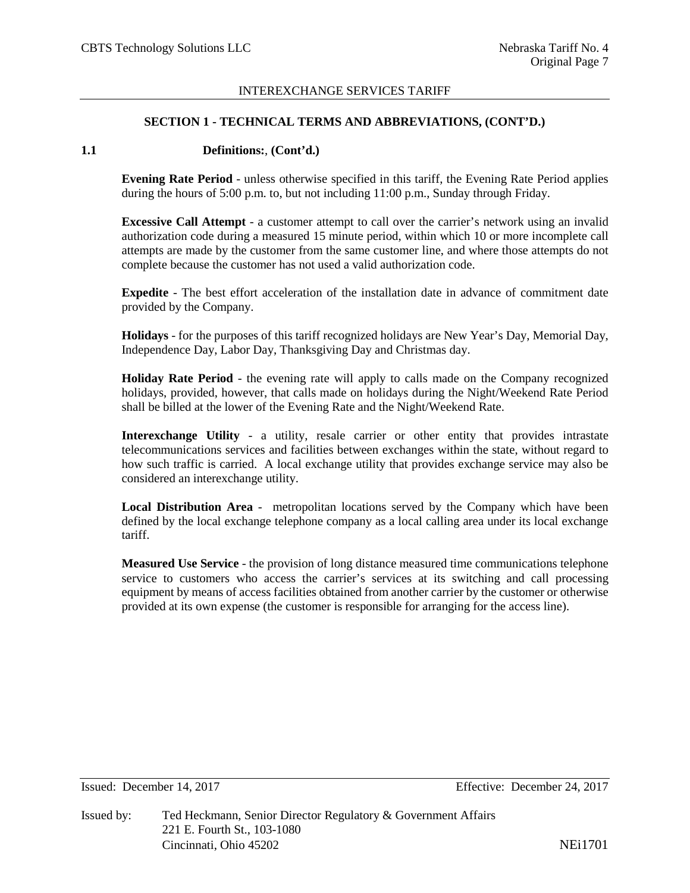#### **SECTION 1 - TECHNICAL TERMS AND ABBREVIATIONS, (CONT'D.)**

#### **1.1 Definitions:**, **(Cont'd.)**

**Evening Rate Period** - unless otherwise specified in this tariff, the Evening Rate Period applies during the hours of 5:00 p.m. to, but not including 11:00 p.m., Sunday through Friday.

**Excessive Call Attempt** - a customer attempt to call over the carrier's network using an invalid authorization code during a measured 15 minute period, within which 10 or more incomplete call attempts are made by the customer from the same customer line, and where those attempts do not complete because the customer has not used a valid authorization code.

**Expedite** - The best effort acceleration of the installation date in advance of commitment date provided by the Company.

**Holidays** - for the purposes of this tariff recognized holidays are New Year's Day, Memorial Day, Independence Day, Labor Day, Thanksgiving Day and Christmas day.

**Holiday Rate Period** - the evening rate will apply to calls made on the Company recognized holidays, provided, however, that calls made on holidays during the Night/Weekend Rate Period shall be billed at the lower of the Evening Rate and the Night/Weekend Rate.

**Interexchange Utility** - a utility, resale carrier or other entity that provides intrastate telecommunications services and facilities between exchanges within the state, without regard to how such traffic is carried. A local exchange utility that provides exchange service may also be considered an interexchange utility.

**Local Distribution Area** - metropolitan locations served by the Company which have been defined by the local exchange telephone company as a local calling area under its local exchange tariff.

**Measured Use Service** - the provision of long distance measured time communications telephone service to customers who access the carrier's services at its switching and call processing equipment by means of access facilities obtained from another carrier by the customer or otherwise provided at its own expense (the customer is responsible for arranging for the access line).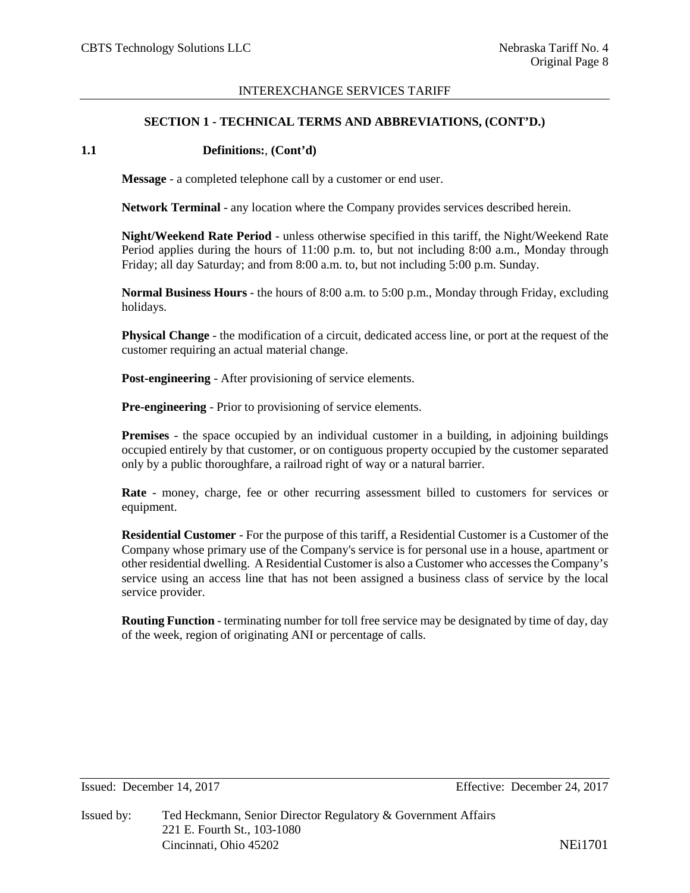#### **SECTION 1 - TECHNICAL TERMS AND ABBREVIATIONS, (CONT'D.)**

#### **1.1 Definitions:**, **(Cont'd)**

**Message** - a completed telephone call by a customer or end user.

**Network Terminal** - any location where the Company provides services described herein.

**Night/Weekend Rate Period** - unless otherwise specified in this tariff, the Night/Weekend Rate Period applies during the hours of 11:00 p.m. to, but not including 8:00 a.m., Monday through Friday; all day Saturday; and from 8:00 a.m. to, but not including 5:00 p.m. Sunday.

**Normal Business Hours** - the hours of 8:00 a.m. to 5:00 p.m., Monday through Friday, excluding holidays.

**Physical Change** - the modification of a circuit, dedicated access line, or port at the request of the customer requiring an actual material change.

**Post-engineering** - After provisioning of service elements.

**Pre-engineering** - Prior to provisioning of service elements.

**Premises** - the space occupied by an individual customer in a building, in adjoining buildings occupied entirely by that customer, or on contiguous property occupied by the customer separated only by a public thoroughfare, a railroad right of way or a natural barrier.

**Rate** - money, charge, fee or other recurring assessment billed to customers for services or equipment.

**Residential Customer** - For the purpose of this tariff, a Residential Customer is a Customer of the Company whose primary use of the Company's service is for personal use in a house, apartment or other residential dwelling. A Residential Customer is also a Customer who accesses the Company's service using an access line that has not been assigned a business class of service by the local service provider.

**Routing Function** - terminating number for toll free service may be designated by time of day, day of the week, region of originating ANI or percentage of calls.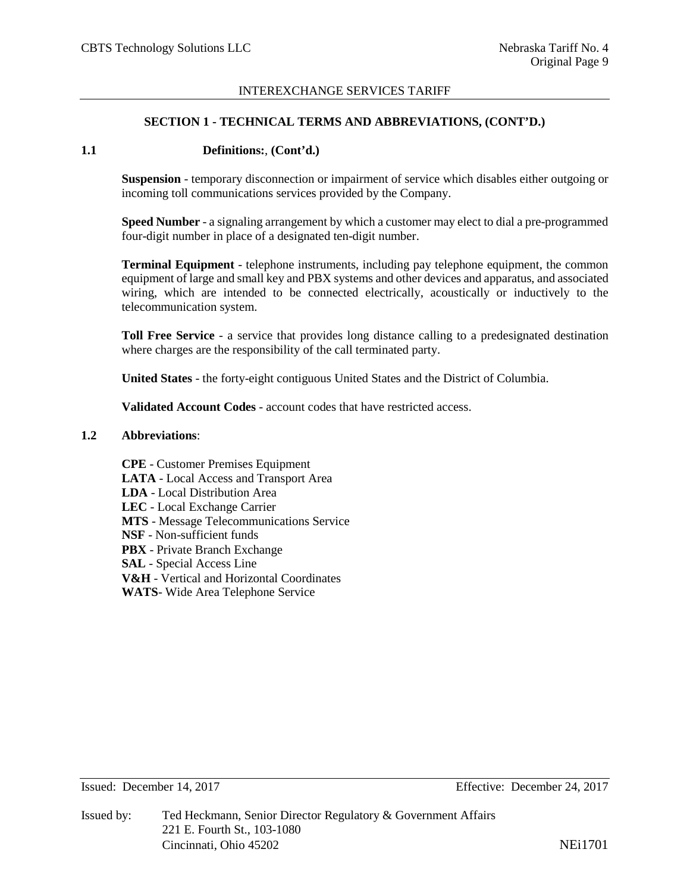#### **SECTION 1 - TECHNICAL TERMS AND ABBREVIATIONS, (CONT'D.)**

#### **1.1 Definitions:**, **(Cont'd.)**

**Suspension** - temporary disconnection or impairment of service which disables either outgoing or incoming toll communications services provided by the Company.

**Speed Number** - a signaling arrangement by which a customer may elect to dial a pre-programmed four-digit number in place of a designated ten-digit number.

**Terminal Equipment** - telephone instruments, including pay telephone equipment, the common equipment of large and small key and PBX systems and other devices and apparatus, and associated wiring, which are intended to be connected electrically, acoustically or inductively to the telecommunication system.

**Toll Free Service** - a service that provides long distance calling to a predesignated destination where charges are the responsibility of the call terminated party.

**United States** - the forty-eight contiguous United States and the District of Columbia.

**Validated Account Codes** - account codes that have restricted access.

#### **1.2 Abbreviations**:

**CPE** - Customer Premises Equipment **LATA** - Local Access and Transport Area **LDA** - Local Distribution Area **LEC** - Local Exchange Carrier **MTS** - Message Telecommunications Service **NSF** - Non-sufficient funds **PBX** - Private Branch Exchange **SAL** - Special Access Line **V&H** - Vertical and Horizontal Coordinates **WATS**- Wide Area Telephone Service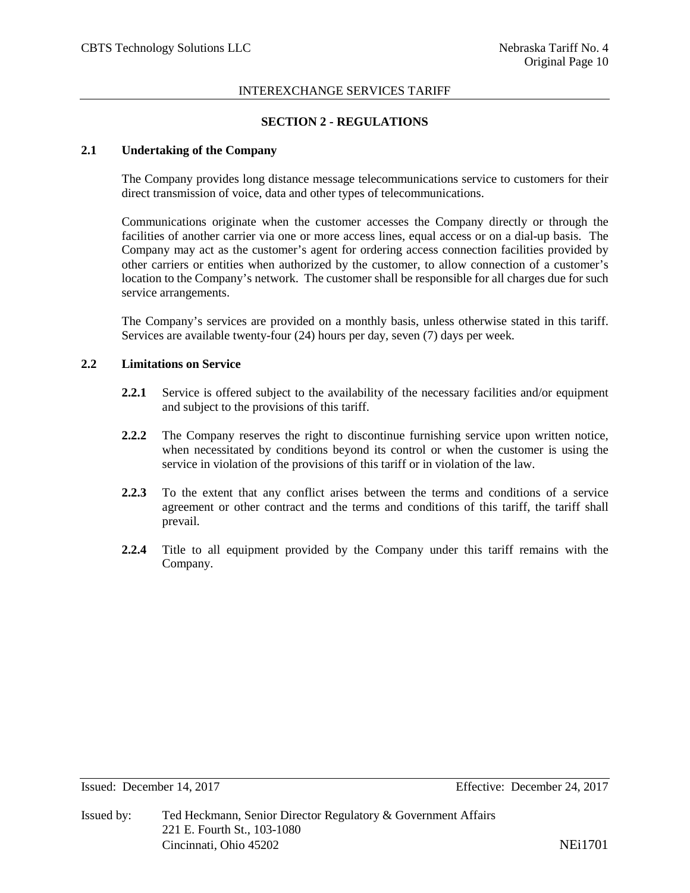## **SECTION 2 - REGULATIONS**

## **2.1 Undertaking of the Company**

The Company provides long distance message telecommunications service to customers for their direct transmission of voice, data and other types of telecommunications.

Communications originate when the customer accesses the Company directly or through the facilities of another carrier via one or more access lines, equal access or on a dial-up basis. The Company may act as the customer's agent for ordering access connection facilities provided by other carriers or entities when authorized by the customer, to allow connection of a customer's location to the Company's network. The customer shall be responsible for all charges due for such service arrangements.

The Company's services are provided on a monthly basis, unless otherwise stated in this tariff. Services are available twenty-four (24) hours per day, seven (7) days per week.

### **2.2 Limitations on Service**

- **2.2.1** Service is offered subject to the availability of the necessary facilities and/or equipment and subject to the provisions of this tariff.
- **2.2.2** The Company reserves the right to discontinue furnishing service upon written notice, when necessitated by conditions beyond its control or when the customer is using the service in violation of the provisions of this tariff or in violation of the law.
- **2.2.3** To the extent that any conflict arises between the terms and conditions of a service agreement or other contract and the terms and conditions of this tariff, the tariff shall prevail.
- **2.2.4** Title to all equipment provided by the Company under this tariff remains with the Company.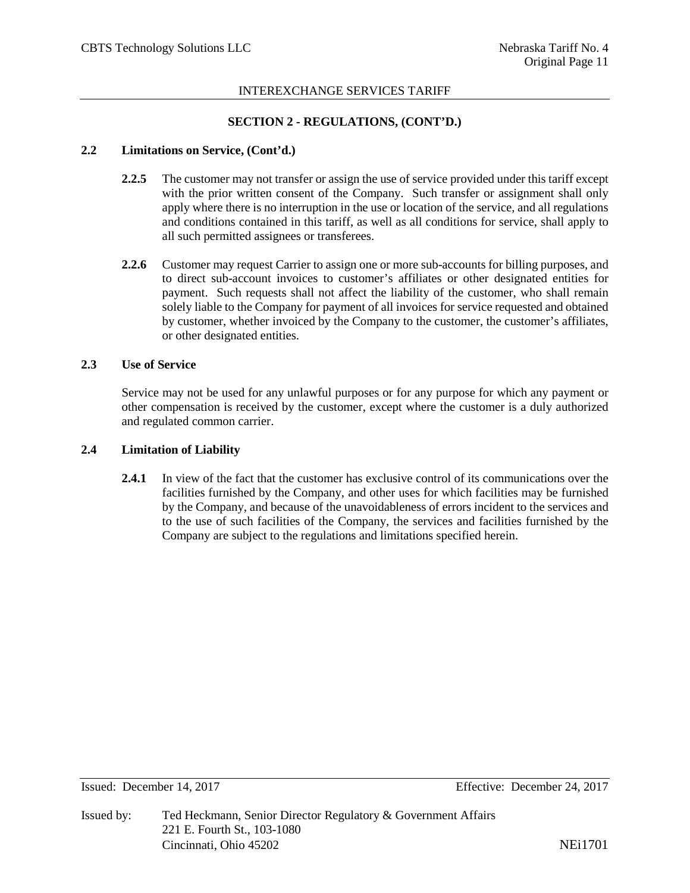## **SECTION 2 - REGULATIONS, (CONT'D.)**

#### **2.2 Limitations on Service, (Cont'd.)**

- **2.2.5** The customer may not transfer or assign the use of service provided under this tariff except with the prior written consent of the Company. Such transfer or assignment shall only apply where there is no interruption in the use or location of the service, and all regulations and conditions contained in this tariff, as well as all conditions for service, shall apply to all such permitted assignees or transferees.
- **2.2.6** Customer may request Carrier to assign one or more sub-accounts for billing purposes, and to direct sub-account invoices to customer's affiliates or other designated entities for payment. Such requests shall not affect the liability of the customer, who shall remain solely liable to the Company for payment of all invoices for service requested and obtained by customer, whether invoiced by the Company to the customer, the customer's affiliates, or other designated entities.

#### **2.3 Use of Service**

Service may not be used for any unlawful purposes or for any purpose for which any payment or other compensation is received by the customer, except where the customer is a duly authorized and regulated common carrier.

#### **2.4 Limitation of Liability**

**2.4.1** In view of the fact that the customer has exclusive control of its communications over the facilities furnished by the Company, and other uses for which facilities may be furnished by the Company, and because of the unavoidableness of errors incident to the services and to the use of such facilities of the Company, the services and facilities furnished by the Company are subject to the regulations and limitations specified herein.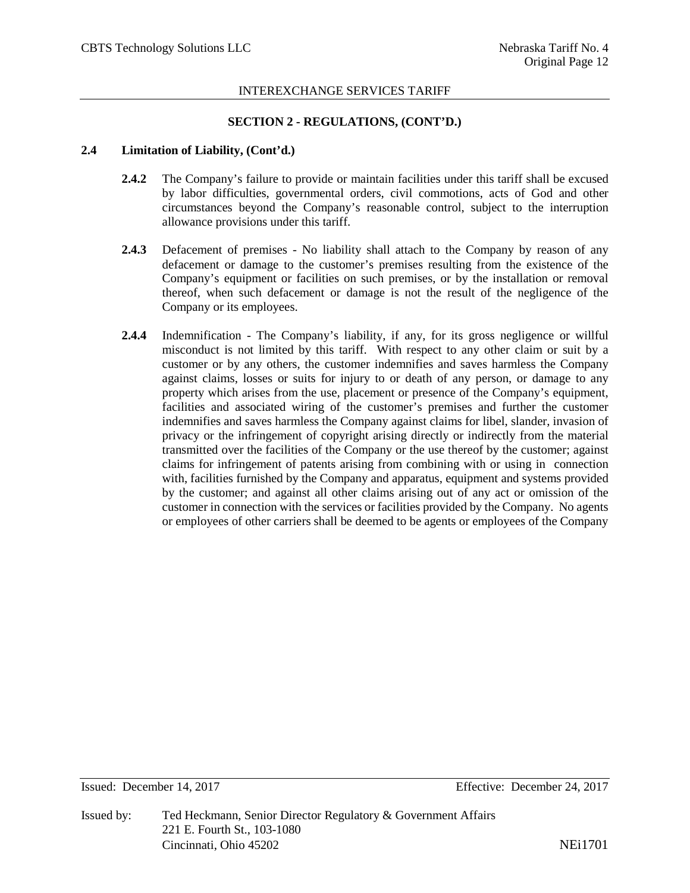## **SECTION 2 - REGULATIONS, (CONT'D.)**

#### **2.4 Limitation of Liability, (Cont'd.)**

- **2.4.2** The Company's failure to provide or maintain facilities under this tariff shall be excused by labor difficulties, governmental orders, civil commotions, acts of God and other circumstances beyond the Company's reasonable control, subject to the interruption allowance provisions under this tariff.
- **2.4.3** Defacement of premises No liability shall attach to the Company by reason of any defacement or damage to the customer's premises resulting from the existence of the Company's equipment or facilities on such premises, or by the installation or removal thereof, when such defacement or damage is not the result of the negligence of the Company or its employees.
- **2.4.4** Indemnification The Company's liability, if any, for its gross negligence or willful misconduct is not limited by this tariff. With respect to any other claim or suit by a customer or by any others, the customer indemnifies and saves harmless the Company against claims, losses or suits for injury to or death of any person, or damage to any property which arises from the use, placement or presence of the Company's equipment, facilities and associated wiring of the customer's premises and further the customer indemnifies and saves harmless the Company against claims for libel, slander, invasion of privacy or the infringement of copyright arising directly or indirectly from the material transmitted over the facilities of the Company or the use thereof by the customer; against claims for infringement of patents arising from combining with or using in connection with, facilities furnished by the Company and apparatus, equipment and systems provided by the customer; and against all other claims arising out of any act or omission of the customer in connection with the services or facilities provided by the Company. No agents or employees of other carriers shall be deemed to be agents or employees of the Company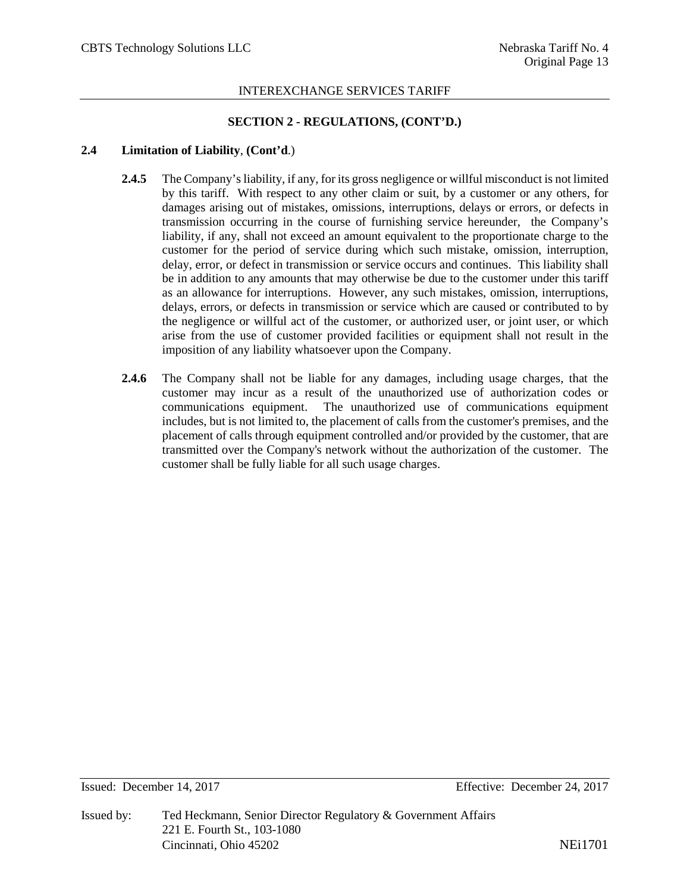## **SECTION 2 - REGULATIONS, (CONT'D.)**

## **2.4 Limitation of Liability**, **(Cont'd**.)

- **2.4.5** The Company's liability, if any, for its gross negligence or willful misconduct is not limited by this tariff. With respect to any other claim or suit, by a customer or any others, for damages arising out of mistakes, omissions, interruptions, delays or errors, or defects in transmission occurring in the course of furnishing service hereunder, the Company's liability, if any, shall not exceed an amount equivalent to the proportionate charge to the customer for the period of service during which such mistake, omission, interruption, delay, error, or defect in transmission or service occurs and continues. This liability shall be in addition to any amounts that may otherwise be due to the customer under this tariff as an allowance for interruptions. However, any such mistakes, omission, interruptions, delays, errors, or defects in transmission or service which are caused or contributed to by the negligence or willful act of the customer, or authorized user, or joint user, or which arise from the use of customer provided facilities or equipment shall not result in the imposition of any liability whatsoever upon the Company.
- **2.4.6** The Company shall not be liable for any damages, including usage charges, that the customer may incur as a result of the unauthorized use of authorization codes or communications equipment. The unauthorized use of communications equipment includes, but is not limited to, the placement of calls from the customer's premises, and the placement of calls through equipment controlled and/or provided by the customer, that are transmitted over the Company's network without the authorization of the customer. The customer shall be fully liable for all such usage charges.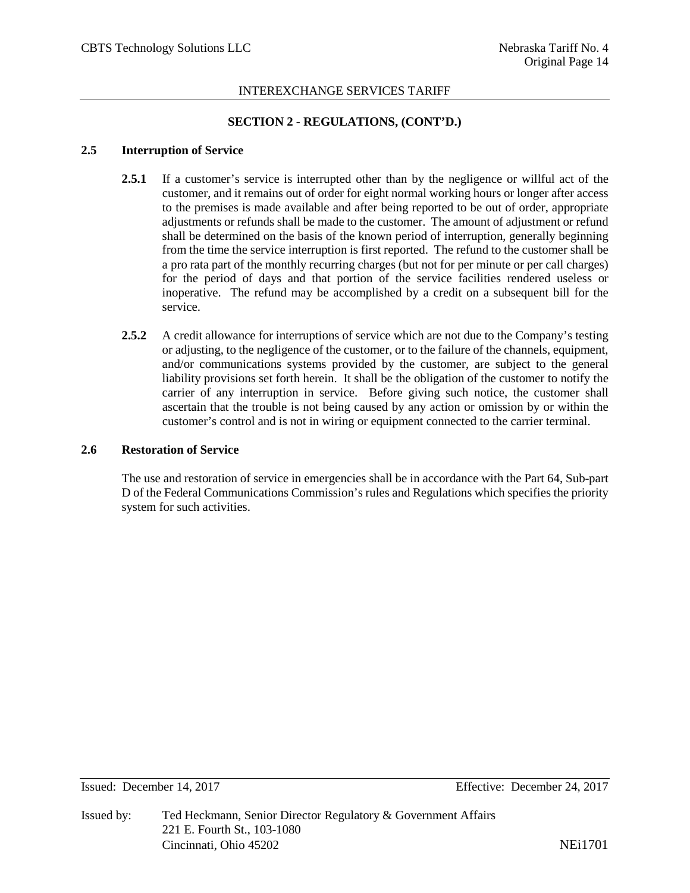## **SECTION 2 - REGULATIONS, (CONT'D.)**

#### **2.5 Interruption of Service**

- **2.5.1** If a customer's service is interrupted other than by the negligence or willful act of the customer, and it remains out of order for eight normal working hours or longer after access to the premises is made available and after being reported to be out of order, appropriate adjustments or refunds shall be made to the customer. The amount of adjustment or refund shall be determined on the basis of the known period of interruption, generally beginning from the time the service interruption is first reported. The refund to the customer shall be a pro rata part of the monthly recurring charges (but not for per minute or per call charges) for the period of days and that portion of the service facilities rendered useless or inoperative. The refund may be accomplished by a credit on a subsequent bill for the service.
- **2.5.2** A credit allowance for interruptions of service which are not due to the Company's testing or adjusting, to the negligence of the customer, or to the failure of the channels, equipment, and/or communications systems provided by the customer, are subject to the general liability provisions set forth herein. It shall be the obligation of the customer to notify the carrier of any interruption in service. Before giving such notice, the customer shall ascertain that the trouble is not being caused by any action or omission by or within the customer's control and is not in wiring or equipment connected to the carrier terminal.

## **2.6 Restoration of Service**

The use and restoration of service in emergencies shall be in accordance with the Part 64, Sub-part D of the Federal Communications Commission's rules and Regulations which specifies the priority system for such activities.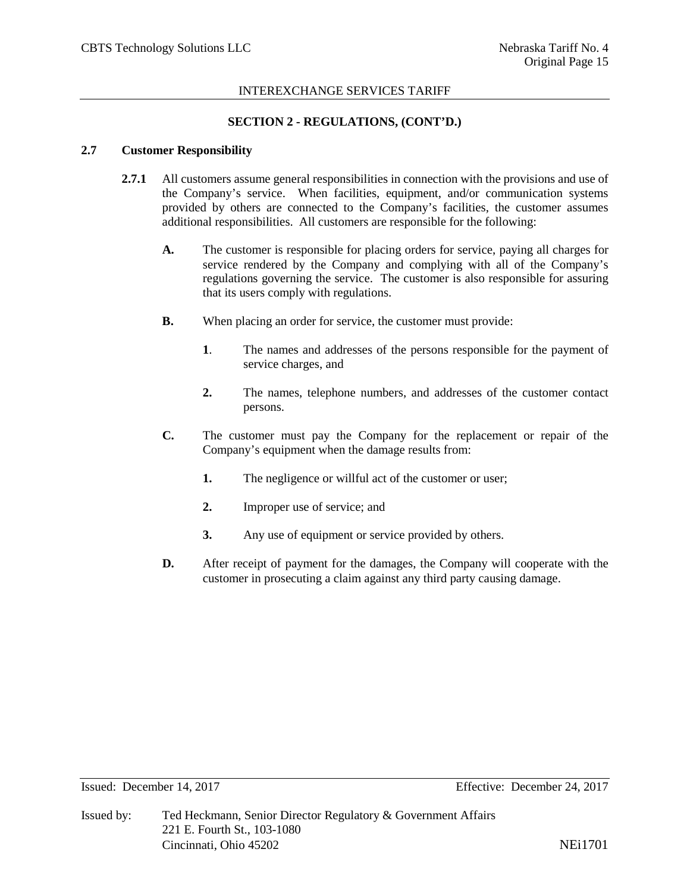#### **SECTION 2 - REGULATIONS, (CONT'D.)**

#### **2.7 Customer Responsibility**

- **2.7.1** All customers assume general responsibilities in connection with the provisions and use of the Company's service. When facilities, equipment, and/or communication systems provided by others are connected to the Company's facilities, the customer assumes additional responsibilities. All customers are responsible for the following:
	- **A.** The customer is responsible for placing orders for service, paying all charges for service rendered by the Company and complying with all of the Company's regulations governing the service. The customer is also responsible for assuring that its users comply with regulations.
	- **B.** When placing an order for service, the customer must provide:
		- **1**. The names and addresses of the persons responsible for the payment of service charges, and
		- **2.** The names, telephone numbers, and addresses of the customer contact persons.
	- **C.** The customer must pay the Company for the replacement or repair of the Company's equipment when the damage results from:
		- **1.** The negligence or willful act of the customer or user;
		- **2.** Improper use of service; and
		- **3.** Any use of equipment or service provided by others.
	- **D.** After receipt of payment for the damages, the Company will cooperate with the customer in prosecuting a claim against any third party causing damage.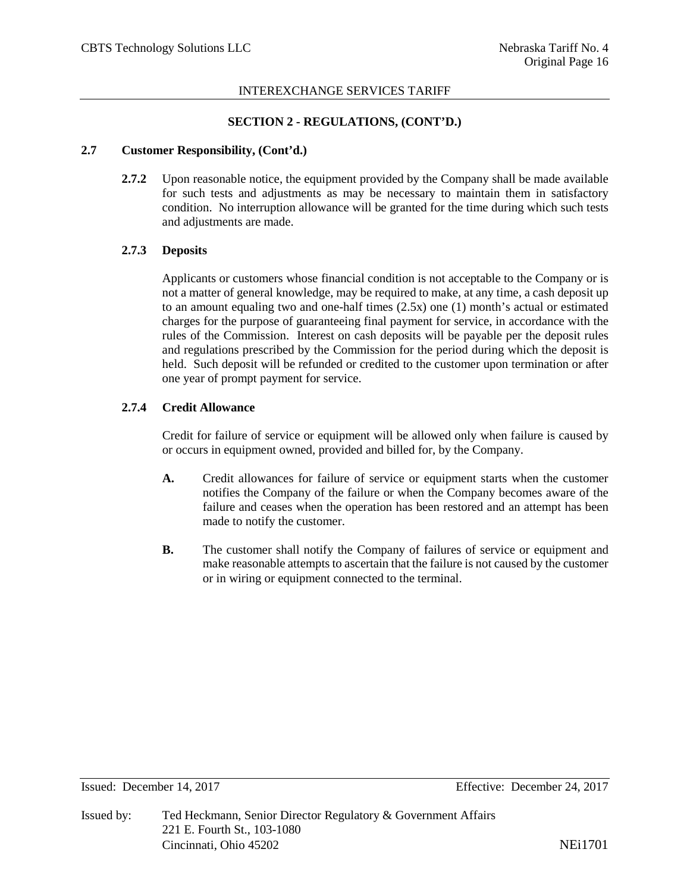## **SECTION 2 - REGULATIONS, (CONT'D.)**

## **2.7 Customer Responsibility, (Cont'd.)**

**2.7.2** Upon reasonable notice, the equipment provided by the Company shall be made available for such tests and adjustments as may be necessary to maintain them in satisfactory condition. No interruption allowance will be granted for the time during which such tests and adjustments are made.

## **2.7.3 Deposits**

Applicants or customers whose financial condition is not acceptable to the Company or is not a matter of general knowledge, may be required to make, at any time, a cash deposit up to an amount equaling two and one-half times  $(2.5x)$  one (1) month's actual or estimated charges for the purpose of guaranteeing final payment for service, in accordance with the rules of the Commission. Interest on cash deposits will be payable per the deposit rules and regulations prescribed by the Commission for the period during which the deposit is held. Such deposit will be refunded or credited to the customer upon termination or after one year of prompt payment for service.

## **2.7.4 Credit Allowance**

Credit for failure of service or equipment will be allowed only when failure is caused by or occurs in equipment owned, provided and billed for, by the Company.

- **A.** Credit allowances for failure of service or equipment starts when the customer notifies the Company of the failure or when the Company becomes aware of the failure and ceases when the operation has been restored and an attempt has been made to notify the customer.
- **B.** The customer shall notify the Company of failures of service or equipment and make reasonable attempts to ascertain that the failure is not caused by the customer or in wiring or equipment connected to the terminal.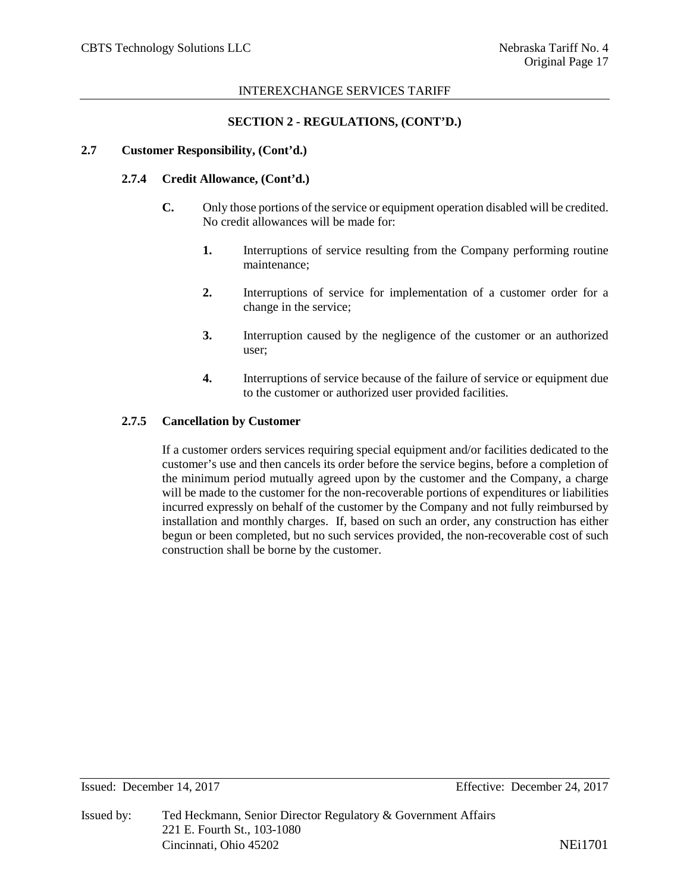#### **SECTION 2 - REGULATIONS, (CONT'D.)**

#### **2.7 Customer Responsibility, (Cont'd.)**

### **2.7.4 Credit Allowance, (Cont'd.)**

- **C.** Only those portions of the service or equipment operation disabled will be credited. No credit allowances will be made for:
	- **1.** Interruptions of service resulting from the Company performing routine maintenance;
	- **2.** Interruptions of service for implementation of a customer order for a change in the service;
	- **3.** Interruption caused by the negligence of the customer or an authorized user;
	- **4.** Interruptions of service because of the failure of service or equipment due to the customer or authorized user provided facilities.

## **2.7.5 Cancellation by Customer**

If a customer orders services requiring special equipment and/or facilities dedicated to the customer's use and then cancels its order before the service begins, before a completion of the minimum period mutually agreed upon by the customer and the Company, a charge will be made to the customer for the non-recoverable portions of expenditures or liabilities incurred expressly on behalf of the customer by the Company and not fully reimbursed by installation and monthly charges. If, based on such an order, any construction has either begun or been completed, but no such services provided, the non-recoverable cost of such construction shall be borne by the customer.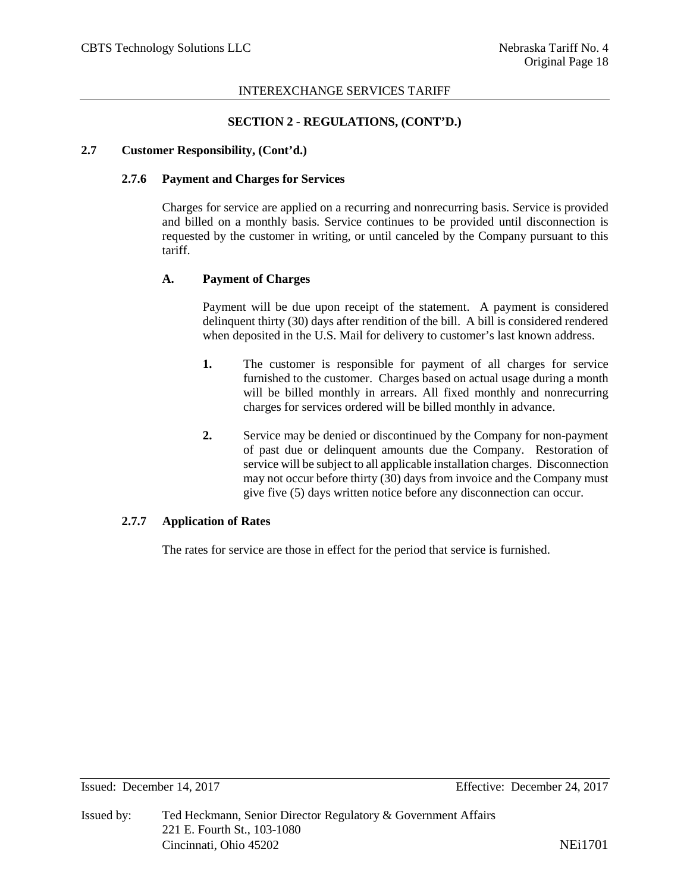## **SECTION 2 - REGULATIONS, (CONT'D.)**

#### **2.7 Customer Responsibility, (Cont'd.)**

## **2.7.6 Payment and Charges for Services**

Charges for service are applied on a recurring and nonrecurring basis. Service is provided and billed on a monthly basis. Service continues to be provided until disconnection is requested by the customer in writing, or until canceled by the Company pursuant to this tariff.

## **A. Payment of Charges**

Payment will be due upon receipt of the statement. A payment is considered delinquent thirty (30) days after rendition of the bill. A bill is considered rendered when deposited in the U.S. Mail for delivery to customer's last known address.

- **1.** The customer is responsible for payment of all charges for service furnished to the customer. Charges based on actual usage during a month will be billed monthly in arrears. All fixed monthly and nonrecurring charges for services ordered will be billed monthly in advance.
- **2.** Service may be denied or discontinued by the Company for non-payment of past due or delinquent amounts due the Company. Restoration of service will be subject to all applicable installation charges. Disconnection may not occur before thirty (30) days from invoice and the Company must give five (5) days written notice before any disconnection can occur.

#### **2.7.7 Application of Rates**

The rates for service are those in effect for the period that service is furnished.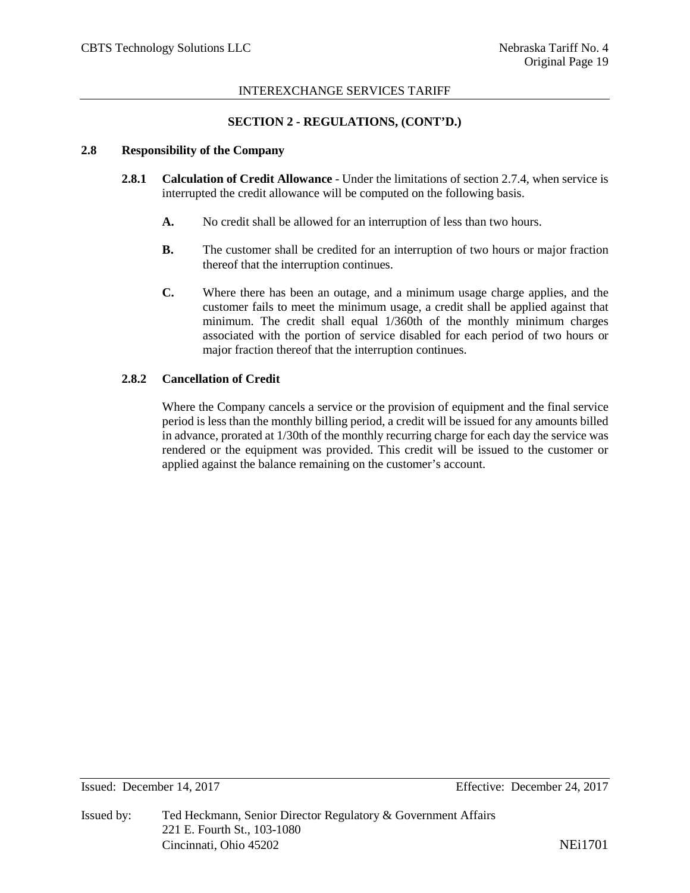## **SECTION 2 - REGULATIONS, (CONT'D.)**

#### **2.8 Responsibility of the Company**

- **2.8.1 Calculation of Credit Allowance** Under the limitations of section 2.7.4, when service is interrupted the credit allowance will be computed on the following basis.
	- **A.** No credit shall be allowed for an interruption of less than two hours.
	- **B.** The customer shall be credited for an interruption of two hours or major fraction thereof that the interruption continues.
	- **C.** Where there has been an outage, and a minimum usage charge applies, and the customer fails to meet the minimum usage, a credit shall be applied against that minimum. The credit shall equal 1/360th of the monthly minimum charges associated with the portion of service disabled for each period of two hours or major fraction thereof that the interruption continues.

## **2.8.2 Cancellation of Credit**

Where the Company cancels a service or the provision of equipment and the final service period is less than the monthly billing period, a credit will be issued for any amounts billed in advance, prorated at 1/30th of the monthly recurring charge for each day the service was rendered or the equipment was provided. This credit will be issued to the customer or applied against the balance remaining on the customer's account.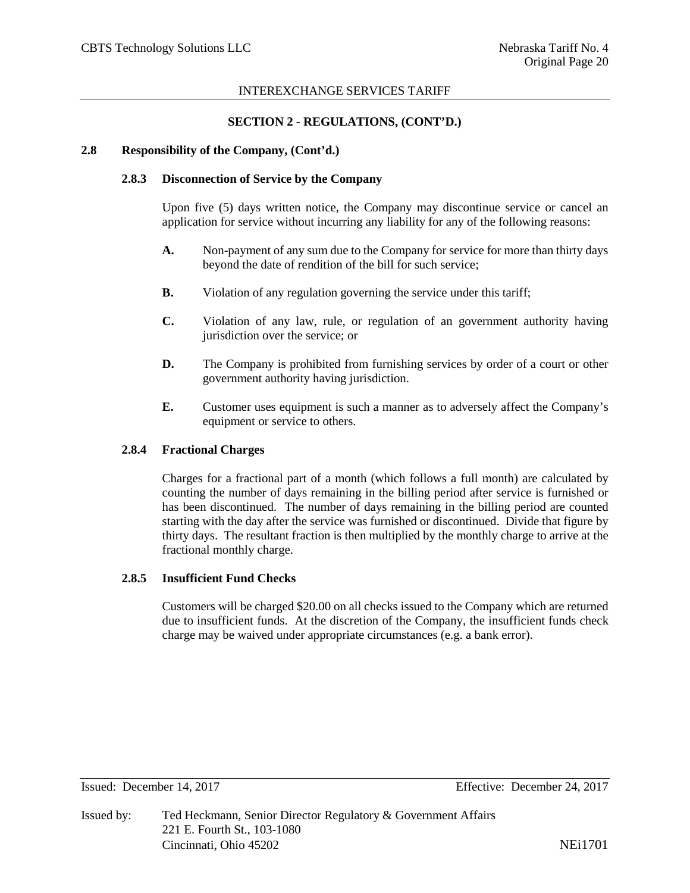#### **SECTION 2 - REGULATIONS, (CONT'D.)**

#### **2.8 Responsibility of the Company, (Cont'd.)**

## **2.8.3 Disconnection of Service by the Company**

Upon five (5) days written notice, the Company may discontinue service or cancel an application for service without incurring any liability for any of the following reasons:

- **A.** Non-payment of any sum due to the Company for service for more than thirty days beyond the date of rendition of the bill for such service;
- **B.** Violation of any regulation governing the service under this tariff;
- **C.** Violation of any law, rule, or regulation of an government authority having jurisdiction over the service; or
- **D.** The Company is prohibited from furnishing services by order of a court or other government authority having jurisdiction.
- **E.** Customer uses equipment is such a manner as to adversely affect the Company's equipment or service to others.

#### **2.8.4 Fractional Charges**

Charges for a fractional part of a month (which follows a full month) are calculated by counting the number of days remaining in the billing period after service is furnished or has been discontinued. The number of days remaining in the billing period are counted starting with the day after the service was furnished or discontinued. Divide that figure by thirty days. The resultant fraction is then multiplied by the monthly charge to arrive at the fractional monthly charge.

#### **2.8.5 Insufficient Fund Checks**

Customers will be charged \$20.00 on all checks issued to the Company which are returned due to insufficient funds. At the discretion of the Company, the insufficient funds check charge may be waived under appropriate circumstances (e.g. a bank error).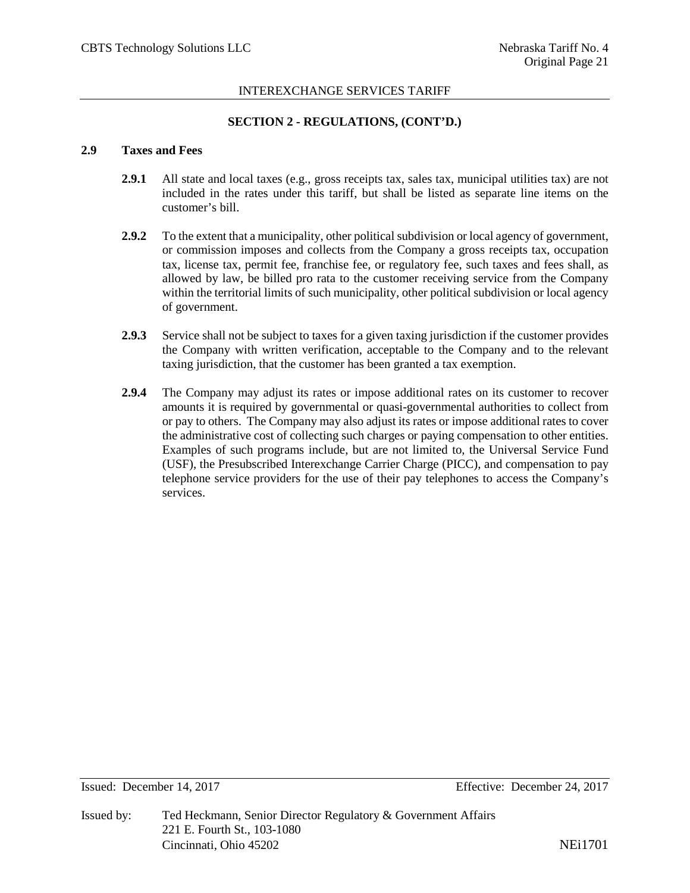## **SECTION 2 - REGULATIONS, (CONT'D.)**

#### **2.9 Taxes and Fees**

- **2.9.1** All state and local taxes (e.g., gross receipts tax, sales tax, municipal utilities tax) are not included in the rates under this tariff, but shall be listed as separate line items on the customer's bill.
- **2.9.2** To the extent that a municipality, other political subdivision or local agency of government, or commission imposes and collects from the Company a gross receipts tax, occupation tax, license tax, permit fee, franchise fee, or regulatory fee, such taxes and fees shall, as allowed by law, be billed pro rata to the customer receiving service from the Company within the territorial limits of such municipality, other political subdivision or local agency of government.
- **2.9.3** Service shall not be subject to taxes for a given taxing jurisdiction if the customer provides the Company with written verification, acceptable to the Company and to the relevant taxing jurisdiction, that the customer has been granted a tax exemption.
- **2.9.4** The Company may adjust its rates or impose additional rates on its customer to recover amounts it is required by governmental or quasi-governmental authorities to collect from or pay to others. The Company may also adjust its rates or impose additional rates to cover the administrative cost of collecting such charges or paying compensation to other entities. Examples of such programs include, but are not limited to, the Universal Service Fund (USF), the Presubscribed Interexchange Carrier Charge (PICC), and compensation to pay telephone service providers for the use of their pay telephones to access the Company's services.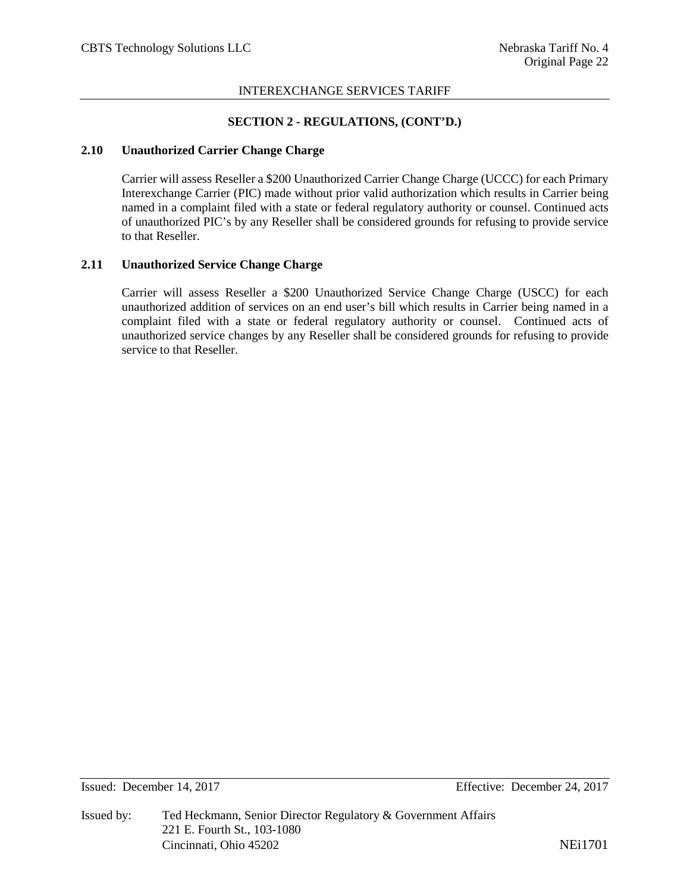#### **SECTION 2 - REGULATIONS, (CONT'D.)**

#### **2.10 Unauthorized Carrier Change Charge**

Carrier will assess Reseller a \$200 Unauthorized Carrier Change Charge (UCCC) for each Primary Interexchange Carrier (PIC) made without prior valid authorization which results in Carrier being named in a complaint filed with a state or federal regulatory authority or counsel. Continued acts of unauthorized PIC's by any Reseller shall be considered grounds for refusing to provide service to that Reseller.

#### **2.11 Unauthorized Service Change Charge**

Carrier will assess Reseller a \$200 Unauthorized Service Change Charge (USCC) for each unauthorized addition of services on an end user's bill which results in Carrier being named in a complaint filed with a state or federal regulatory authority or counsel. Continued acts of unauthorized service changes by any Reseller shall be considered grounds for refusing to provide service to that Reseller.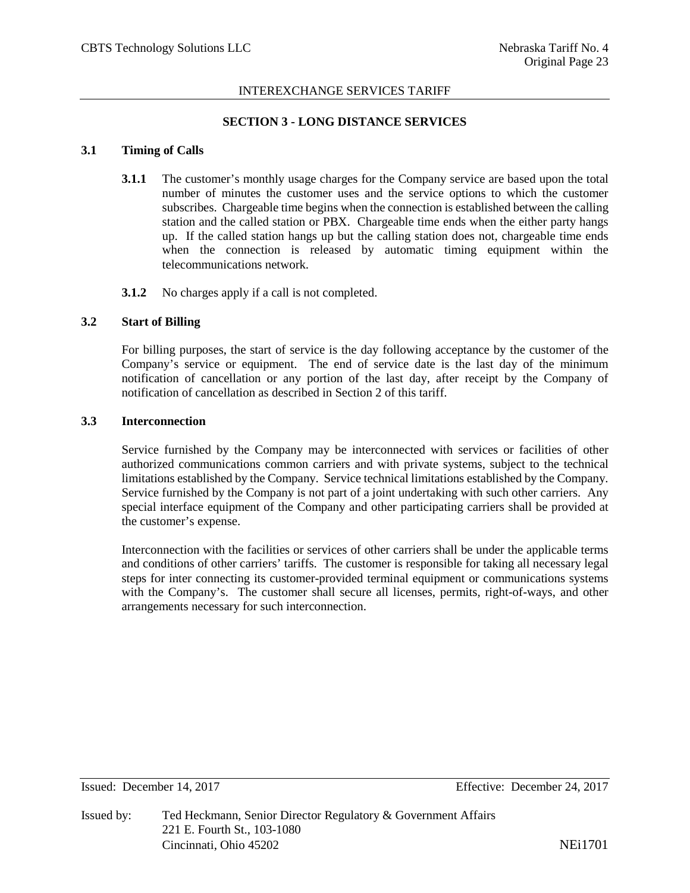## **SECTION 3 - LONG DISTANCE SERVICES**

#### **3.1 Timing of Calls**

- **3.1.1** The customer's monthly usage charges for the Company service are based upon the total number of minutes the customer uses and the service options to which the customer subscribes. Chargeable time begins when the connection is established between the calling station and the called station or PBX. Chargeable time ends when the either party hangs up. If the called station hangs up but the calling station does not, chargeable time ends when the connection is released by automatic timing equipment within the telecommunications network.
- **3.1.2** No charges apply if a call is not completed.

#### **3.2 Start of Billing**

For billing purposes, the start of service is the day following acceptance by the customer of the Company's service or equipment. The end of service date is the last day of the minimum notification of cancellation or any portion of the last day, after receipt by the Company of notification of cancellation as described in Section 2 of this tariff.

## **3.3 Interconnection**

Service furnished by the Company may be interconnected with services or facilities of other authorized communications common carriers and with private systems, subject to the technical limitations established by the Company. Service technical limitations established by the Company. Service furnished by the Company is not part of a joint undertaking with such other carriers. Any special interface equipment of the Company and other participating carriers shall be provided at the customer's expense.

Interconnection with the facilities or services of other carriers shall be under the applicable terms and conditions of other carriers' tariffs. The customer is responsible for taking all necessary legal steps for inter connecting its customer-provided terminal equipment or communications systems with the Company's. The customer shall secure all licenses, permits, right-of-ways, and other arrangements necessary for such interconnection.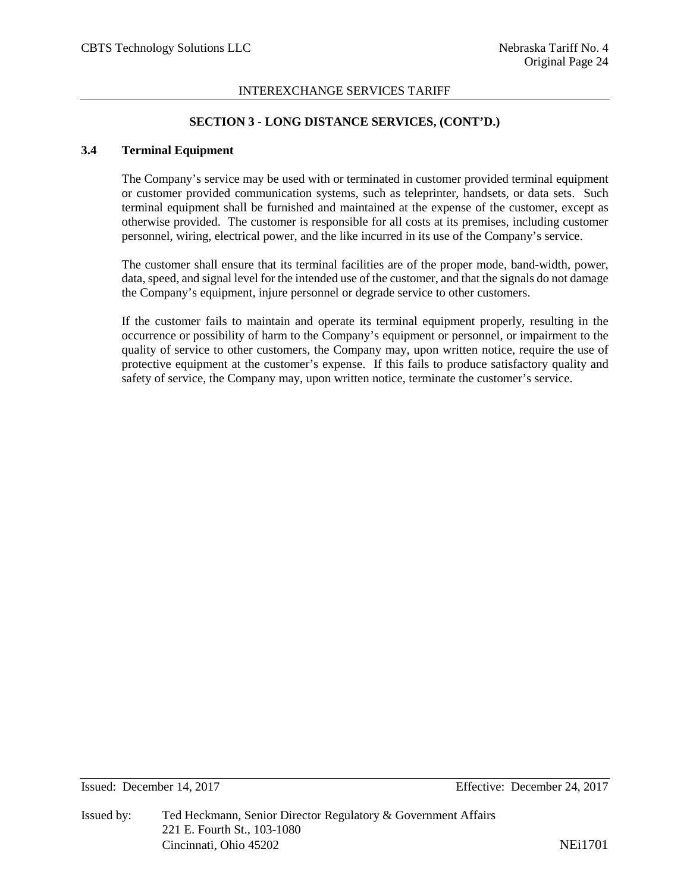## **SECTION 3 - LONG DISTANCE SERVICES, (CONT'D.)**

## **3.4 Terminal Equipment**

The Company's service may be used with or terminated in customer provided terminal equipment or customer provided communication systems, such as teleprinter, handsets, or data sets. Such terminal equipment shall be furnished and maintained at the expense of the customer, except as otherwise provided. The customer is responsible for all costs at its premises, including customer personnel, wiring, electrical power, and the like incurred in its use of the Company's service.

The customer shall ensure that its terminal facilities are of the proper mode, band-width, power, data, speed, and signal level for the intended use of the customer, and that the signals do not damage the Company's equipment, injure personnel or degrade service to other customers.

If the customer fails to maintain and operate its terminal equipment properly, resulting in the occurrence or possibility of harm to the Company's equipment or personnel, or impairment to the quality of service to other customers, the Company may, upon written notice, require the use of protective equipment at the customer's expense. If this fails to produce satisfactory quality and safety of service, the Company may, upon written notice, terminate the customer's service.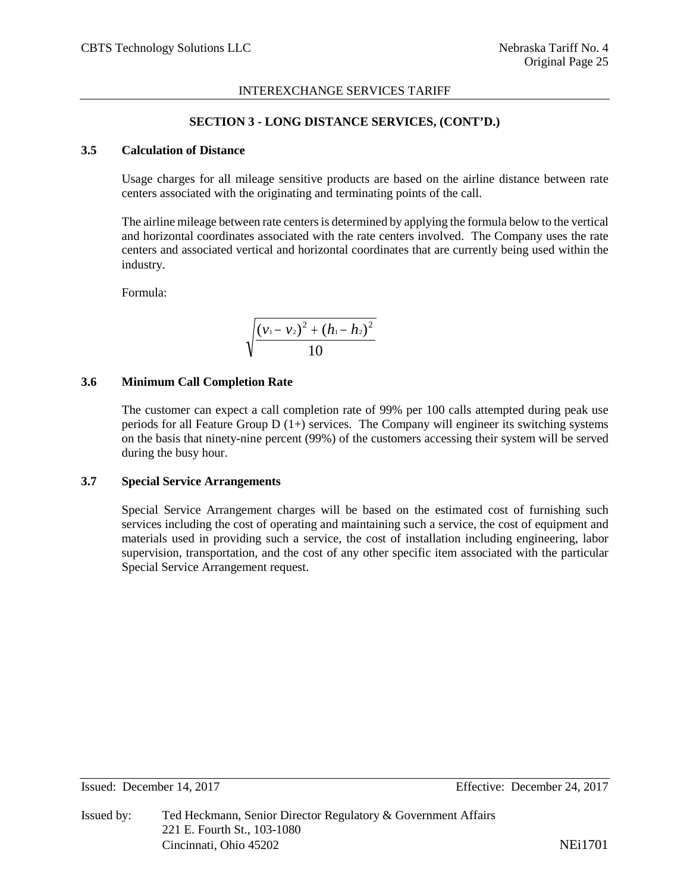## **SECTION 3 - LONG DISTANCE SERVICES, (CONT'D.)**

## **3.5 Calculation of Distance**

Usage charges for all mileage sensitive products are based on the airline distance between rate centers associated with the originating and terminating points of the call.

The airline mileage between rate centers is determined by applying the formula below to the vertical and horizontal coordinates associated with the rate centers involved. The Company uses the rate centers and associated vertical and horizontal coordinates that are currently being used within the industry.

Formula:

$$
\sqrt{\frac{(v_1-v_2)^2+(h_1-h_2)^2}{10}}
$$

#### **3.6 Minimum Call Completion Rate**

The customer can expect a call completion rate of 99% per 100 calls attempted during peak use periods for all Feature Group  $D(1+)$  services. The Company will engineer its switching systems on the basis that ninety-nine percent (99%) of the customers accessing their system will be served during the busy hour.

## **3.7 Special Service Arrangements**

Special Service Arrangement charges will be based on the estimated cost of furnishing such services including the cost of operating and maintaining such a service, the cost of equipment and materials used in providing such a service, the cost of installation including engineering, labor supervision, transportation, and the cost of any other specific item associated with the particular Special Service Arrangement request.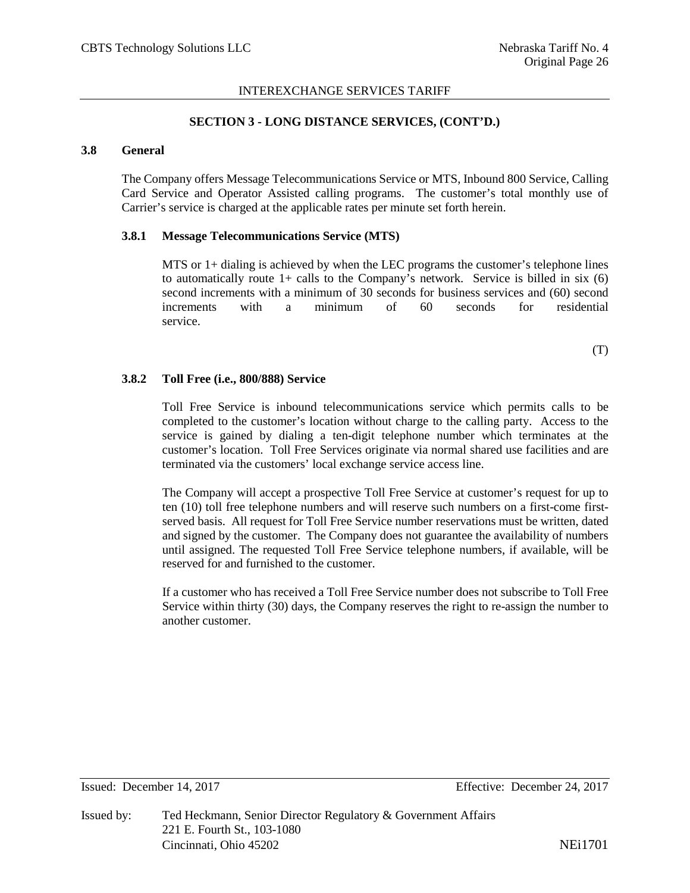## **SECTION 3 - LONG DISTANCE SERVICES, (CONT'D.)**

## **3.8 General**

The Company offers Message Telecommunications Service or MTS, Inbound 800 Service, Calling Card Service and Operator Assisted calling programs. The customer's total monthly use of Carrier's service is charged at the applicable rates per minute set forth herein.

## **3.8.1 Message Telecommunications Service (MTS)**

MTS or 1+ dialing is achieved by when the LEC programs the customer's telephone lines to automatically route  $1+$  calls to the Company's network. Service is billed in six (6) second increments with a minimum of 30 seconds for business services and (60) second increments with a minimum of 60 seconds for residential service.

(T)

## **3.8.2 Toll Free (i.e., 800/888) Service**

Toll Free Service is inbound telecommunications service which permits calls to be completed to the customer's location without charge to the calling party. Access to the service is gained by dialing a ten-digit telephone number which terminates at the customer's location. Toll Free Services originate via normal shared use facilities and are terminated via the customers' local exchange service access line.

The Company will accept a prospective Toll Free Service at customer's request for up to ten (10) toll free telephone numbers and will reserve such numbers on a first-come firstserved basis. All request for Toll Free Service number reservations must be written, dated and signed by the customer. The Company does not guarantee the availability of numbers until assigned. The requested Toll Free Service telephone numbers, if available, will be reserved for and furnished to the customer.

If a customer who has received a Toll Free Service number does not subscribe to Toll Free Service within thirty (30) days, the Company reserves the right to re-assign the number to another customer.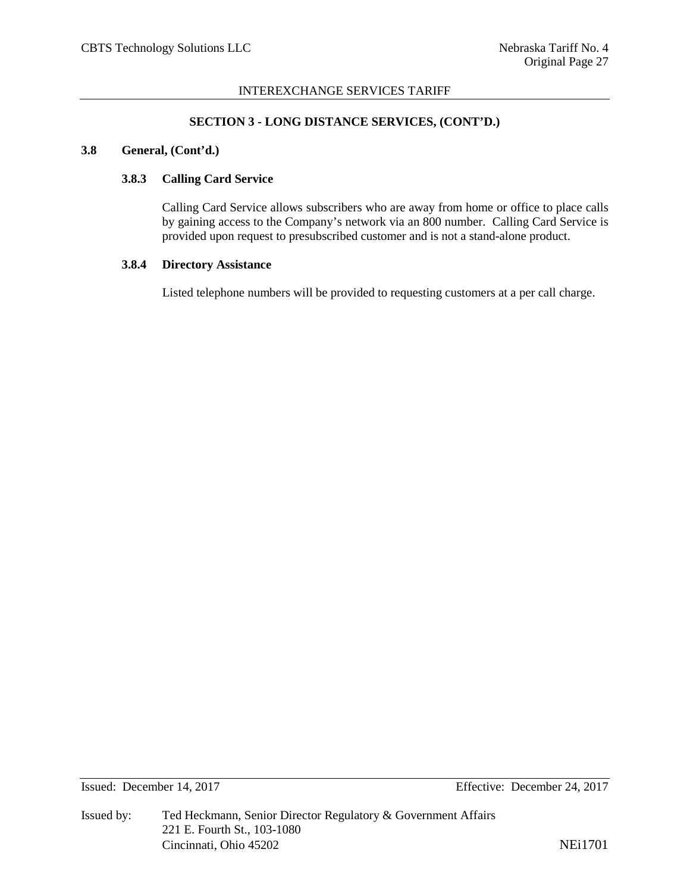## **SECTION 3 - LONG DISTANCE SERVICES, (CONT'D.)**

# **3.8 General, (Cont'd.)**

## **3.8.3 Calling Card Service**

Calling Card Service allows subscribers who are away from home or office to place calls by gaining access to the Company's network via an 800 number. Calling Card Service is provided upon request to presubscribed customer and is not a stand-alone product.

#### **3.8.4 Directory Assistance**

Listed telephone numbers will be provided to requesting customers at a per call charge.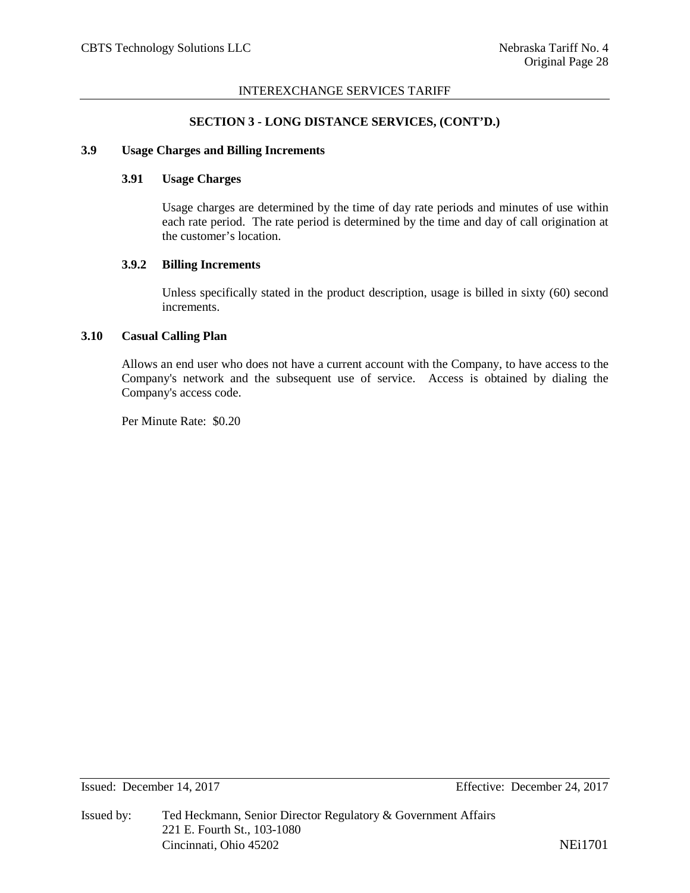#### **SECTION 3 - LONG DISTANCE SERVICES, (CONT'D.)**

## **3.9 Usage Charges and Billing Increments**

## **3.91 Usage Charges**

Usage charges are determined by the time of day rate periods and minutes of use within each rate period. The rate period is determined by the time and day of call origination at the customer's location.

#### **3.9.2 Billing Increments**

Unless specifically stated in the product description, usage is billed in sixty (60) second increments.

## **3.10 Casual Calling Plan**

Allows an end user who does not have a current account with the Company, to have access to the Company's network and the subsequent use of service. Access is obtained by dialing the Company's access code.

Per Minute Rate: \$0.20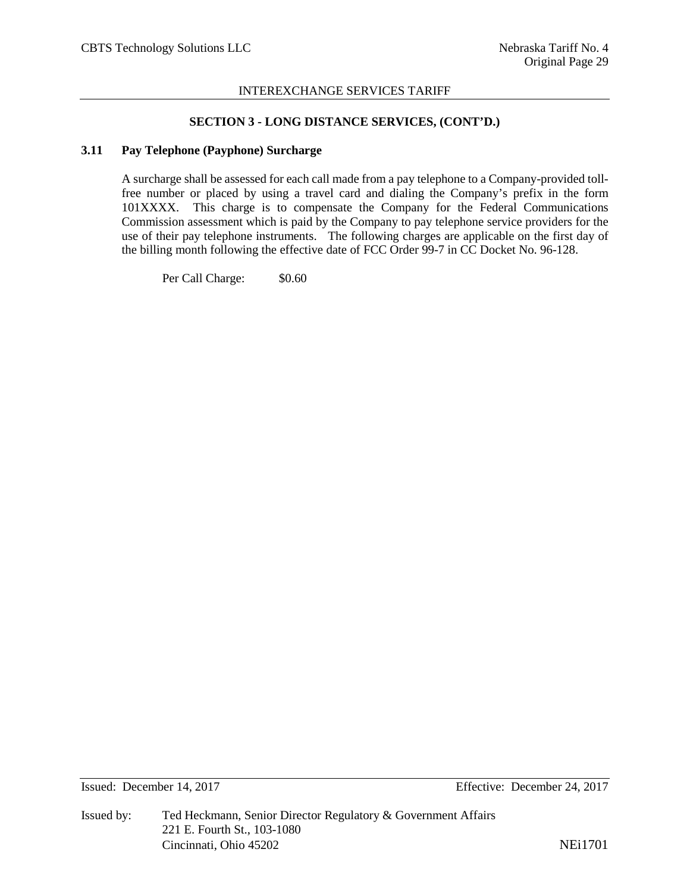#### **SECTION 3 - LONG DISTANCE SERVICES, (CONT'D.)**

#### **3.11 Pay Telephone (Payphone) Surcharge**

A surcharge shall be assessed for each call made from a pay telephone to a Company-provided tollfree number or placed by using a travel card and dialing the Company's prefix in the form 101XXXX. This charge is to compensate the Company for the Federal Communications Commission assessment which is paid by the Company to pay telephone service providers for the use of their pay telephone instruments. The following charges are applicable on the first day of the billing month following the effective date of FCC Order 99-7 in CC Docket No. 96-128.

Per Call Charge:  $$0.60$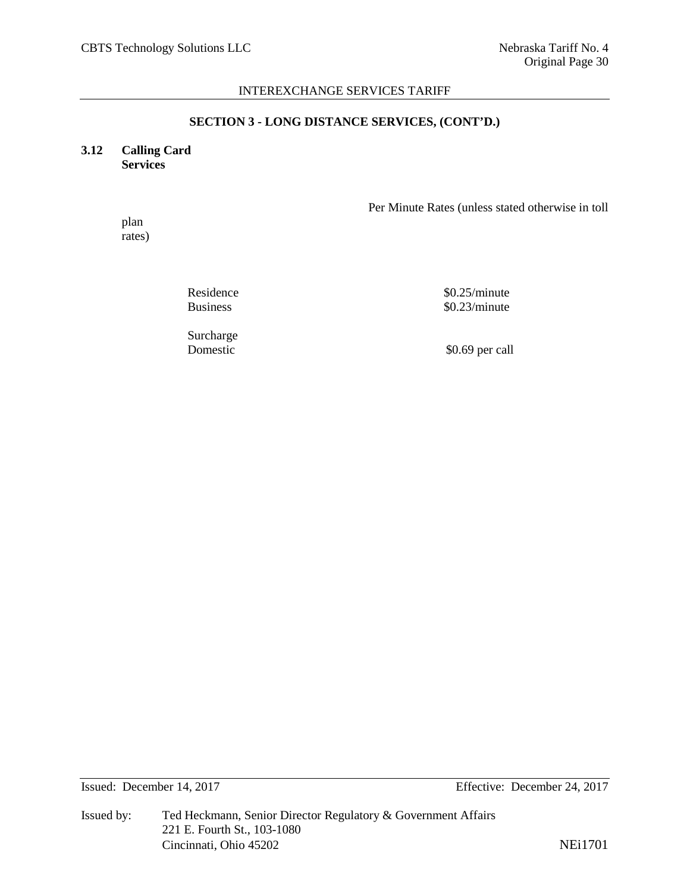#### **SECTION 3 - LONG DISTANCE SERVICES, (CONT'D.)**

## **3.12 Calling Card Services**

Per Minute Rates (unless stated otherwise in toll

plan rates)

Residence \$0.25/minute Business \$0.23/minute

Surcharge<br>Domestic

\$0.69 per call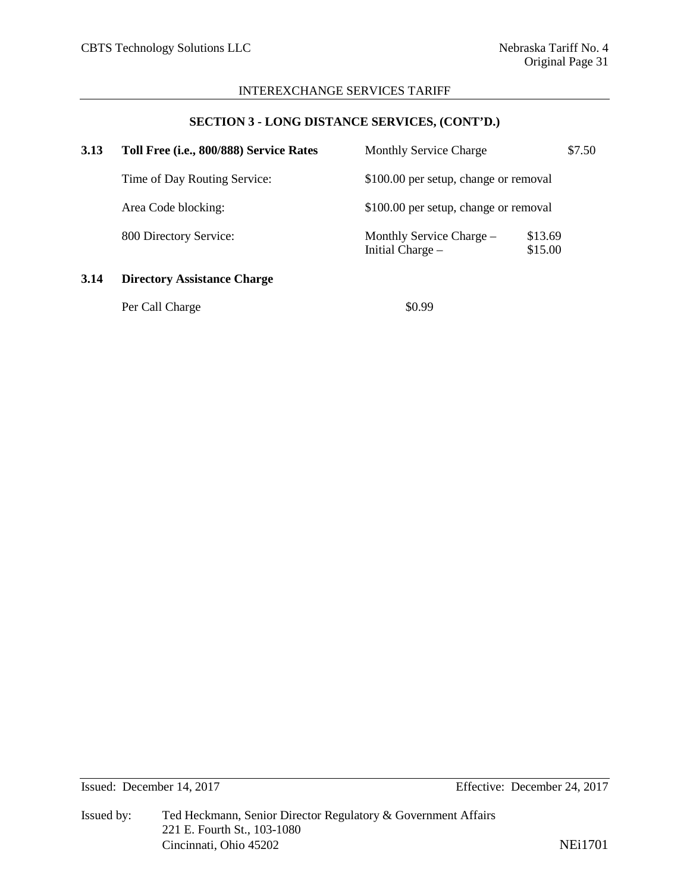# **SECTION 3 - LONG DISTANCE SERVICES, (CONT'D.)**

| 3.13 | Toll Free (i.e., 800/888) Service Rates | <b>Monthly Service Charge</b>                |                    | \$7.50 |
|------|-----------------------------------------|----------------------------------------------|--------------------|--------|
|      | Time of Day Routing Service:            | \$100.00 per setup, change or removal        |                    |        |
|      | Area Code blocking:                     | \$100.00 per setup, change or removal        |                    |        |
|      | 800 Directory Service:                  | Monthly Service Charge -<br>Initial Charge – | \$13.69<br>\$15.00 |        |
| 3.14 | <b>Directory Assistance Charge</b>      |                                              |                    |        |

| Per Call Charge | \$0.99 |
|-----------------|--------|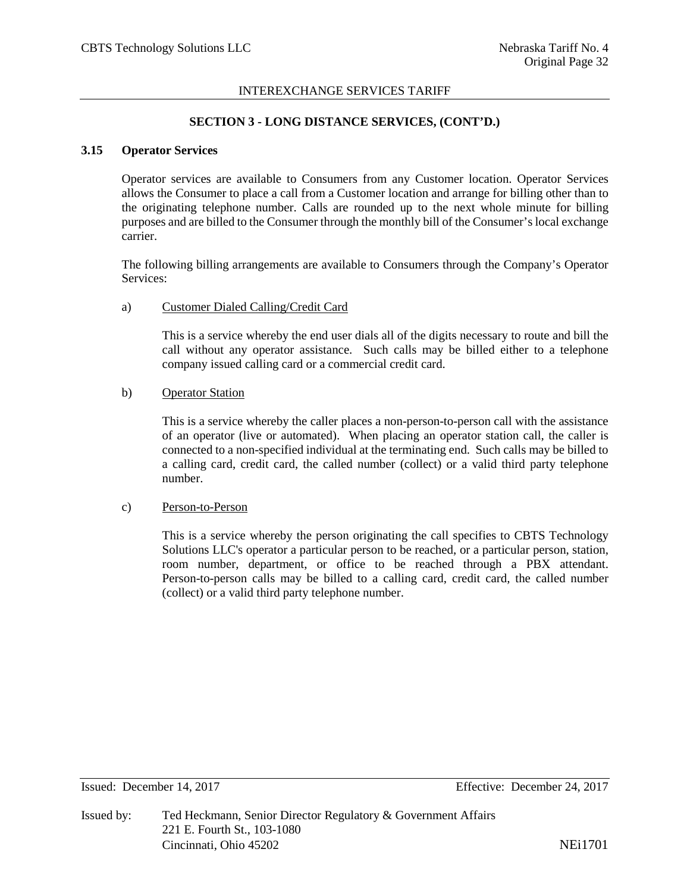## **SECTION 3 - LONG DISTANCE SERVICES, (CONT'D.)**

## **3.15 Operator Services**

Operator services are available to Consumers from any Customer location. Operator Services allows the Consumer to place a call from a Customer location and arrange for billing other than to the originating telephone number. Calls are rounded up to the next whole minute for billing purposes and are billed to the Consumer through the monthly bill of the Consumer's local exchange carrier.

The following billing arrangements are available to Consumers through the Company's Operator Services:

#### a) Customer Dialed Calling/Credit Card

This is a service whereby the end user dials all of the digits necessary to route and bill the call without any operator assistance. Such calls may be billed either to a telephone company issued calling card or a commercial credit card.

#### b) Operator Station

This is a service whereby the caller places a non-person-to-person call with the assistance of an operator (live or automated). When placing an operator station call, the caller is connected to a non-specified individual at the terminating end. Such calls may be billed to a calling card, credit card, the called number (collect) or a valid third party telephone number.

#### c) Person-to-Person

This is a service whereby the person originating the call specifies to CBTS Technology Solutions LLC's operator a particular person to be reached, or a particular person, station, room number, department, or office to be reached through a PBX attendant. Person-to-person calls may be billed to a calling card, credit card, the called number (collect) or a valid third party telephone number.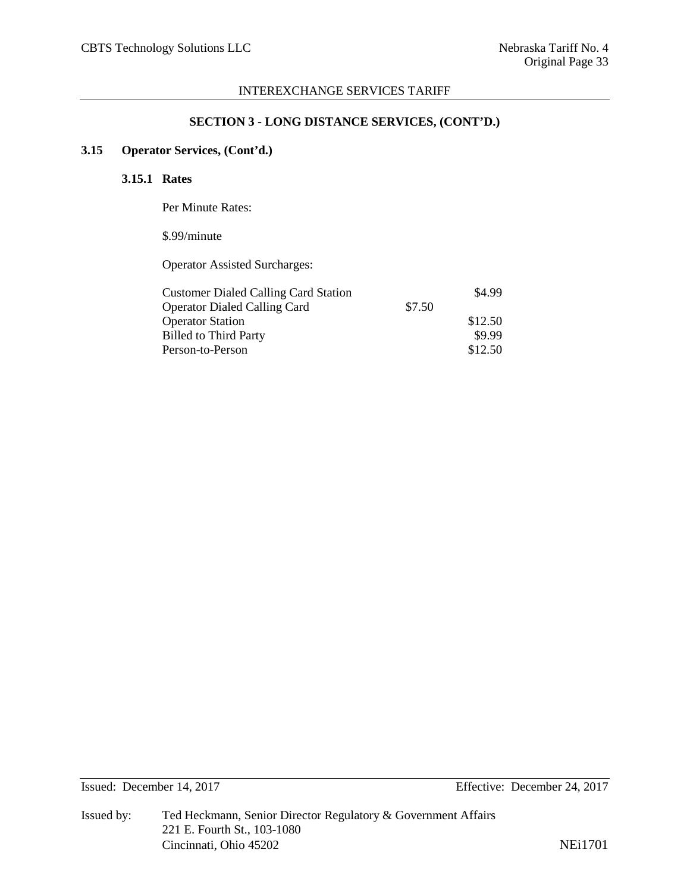## **SECTION 3 - LONG DISTANCE SERVICES, (CONT'D.)**

# **3.15 Operator Services, (Cont'd.)**

## **3.15.1 Rates**

Per Minute Rates:

# \$.99/minute

Operator Assisted Surcharges:

| <b>Customer Dialed Calling Card Station</b> |        | \$4.99  |
|---------------------------------------------|--------|---------|
| <b>Operator Dialed Calling Card</b>         | \$7.50 |         |
| <b>Operator Station</b>                     |        | \$12.50 |
| <b>Billed to Third Party</b>                |        | \$9.99  |
| Person-to-Person                            |        | \$12.50 |
|                                             |        |         |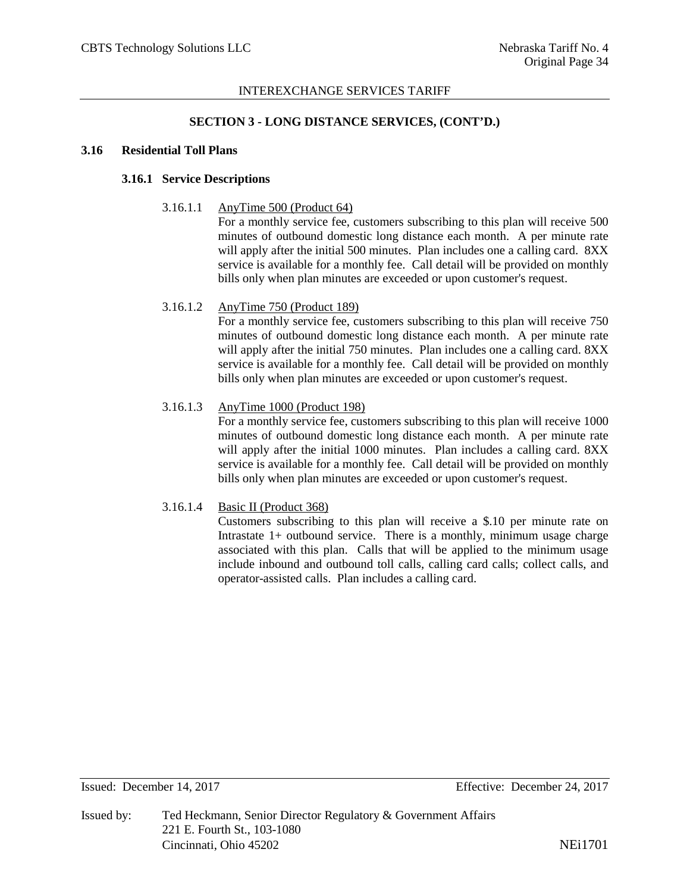## **SECTION 3 - LONG DISTANCE SERVICES, (CONT'D.)**

## **3.16 Residential Toll Plans**

# **3.16.1 Service Descriptions**

#### 3.16.1.1 AnyTime 500 (Product 64)

For a monthly service fee, customers subscribing to this plan will receive 500 minutes of outbound domestic long distance each month. A per minute rate will apply after the initial 500 minutes. Plan includes one a calling card. 8XX service is available for a monthly fee. Call detail will be provided on monthly bills only when plan minutes are exceeded or upon customer's request.

## 3.16.1.2 AnyTime 750 (Product 189)

For a monthly service fee, customers subscribing to this plan will receive 750 minutes of outbound domestic long distance each month. A per minute rate will apply after the initial 750 minutes. Plan includes one a calling card. 8XX service is available for a monthly fee. Call detail will be provided on monthly bills only when plan minutes are exceeded or upon customer's request.

## 3.16.1.3 AnyTime 1000 (Product 198)

For a monthly service fee, customers subscribing to this plan will receive 1000 minutes of outbound domestic long distance each month. A per minute rate will apply after the initial 1000 minutes. Plan includes a calling card. 8XX service is available for a monthly fee. Call detail will be provided on monthly bills only when plan minutes are exceeded or upon customer's request.

## 3.16.1.4 Basic II (Product 368)

Customers subscribing to this plan will receive a \$.10 per minute rate on Intrastate 1+ outbound service. There is a monthly, minimum usage charge associated with this plan. Calls that will be applied to the minimum usage include inbound and outbound toll calls, calling card calls; collect calls, and operator-assisted calls. Plan includes a calling card.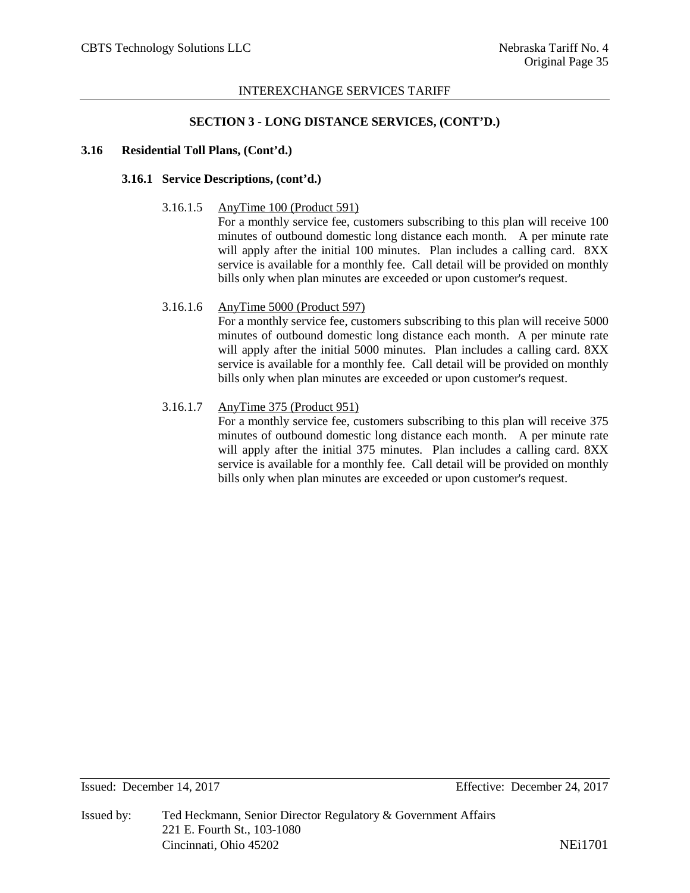#### **SECTION 3 - LONG DISTANCE SERVICES, (CONT'D.)**

## **3.16 Residential Toll Plans, (Cont'd.)**

## **3.16.1 Service Descriptions, (cont'd.)**

#### 3.16.1.5 AnyTime 100 (Product 591)

For a monthly service fee, customers subscribing to this plan will receive 100 minutes of outbound domestic long distance each month. A per minute rate will apply after the initial 100 minutes. Plan includes a calling card. 8XX service is available for a monthly fee. Call detail will be provided on monthly bills only when plan minutes are exceeded or upon customer's request.

#### 3.16.1.6 AnyTime 5000 (Product 597)

For a monthly service fee, customers subscribing to this plan will receive 5000 minutes of outbound domestic long distance each month. A per minute rate will apply after the initial 5000 minutes. Plan includes a calling card. 8XX service is available for a monthly fee. Call detail will be provided on monthly bills only when plan minutes are exceeded or upon customer's request.

## 3.16.1.7 AnyTime 375 (Product 951)

For a monthly service fee, customers subscribing to this plan will receive 375 minutes of outbound domestic long distance each month. A per minute rate will apply after the initial 375 minutes. Plan includes a calling card. 8XX service is available for a monthly fee. Call detail will be provided on monthly bills only when plan minutes are exceeded or upon customer's request.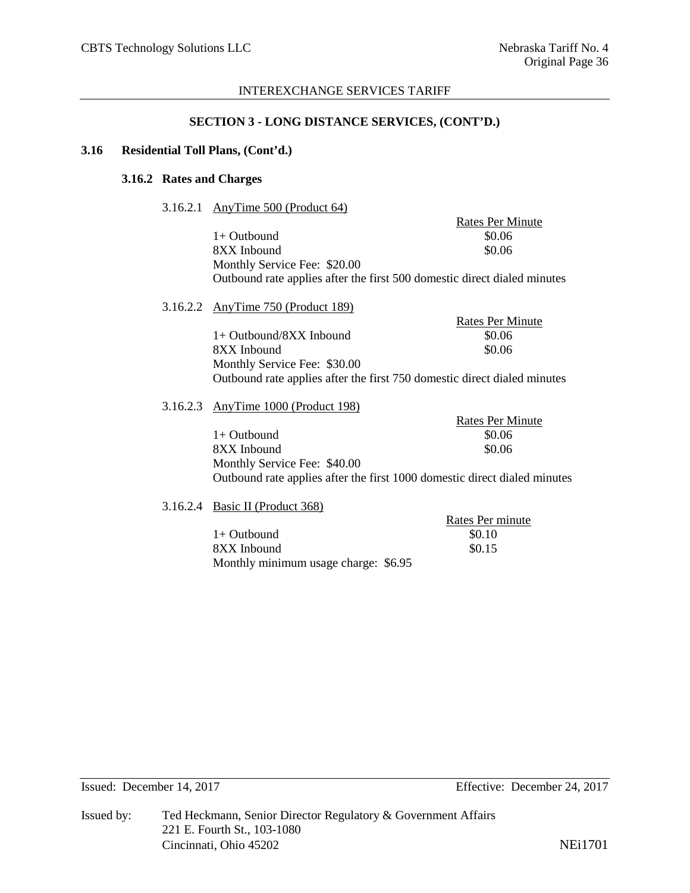## **SECTION 3 - LONG DISTANCE SERVICES, (CONT'D.)**

# **3.16 Residential Toll Plans, (Cont'd.)**

# **3.16.2 Rates and Charges**

3.16.2.1 AnyTime 500 (Product 64)

|          | 3.16.2.1 AnyTime 500 (Product 64)  |                                                                           |
|----------|------------------------------------|---------------------------------------------------------------------------|
|          |                                    | <b>Rates Per Minute</b>                                                   |
|          | $1+$ Outbound                      | \$0.06                                                                    |
|          | 8XX Inbound                        | \$0.06                                                                    |
|          | Monthly Service Fee: \$20.00       |                                                                           |
|          |                                    | Outbound rate applies after the first 500 domestic direct dialed minutes  |
|          | 3.16.2.2 AnyTime 750 (Product 189) |                                                                           |
|          |                                    | <b>Rates Per Minute</b>                                                   |
|          | $1+$ Outbound/8XX Inbound          | \$0.06                                                                    |
|          | 8XX Inbound                        | \$0.06                                                                    |
|          | Monthly Service Fee: \$30.00       |                                                                           |
|          |                                    | Outbound rate applies after the first 750 domestic direct dialed minutes  |
| 3.16.2.3 | AnyTime 1000 (Product 198)         |                                                                           |
|          |                                    | <b>Rates Per Minute</b>                                                   |
|          | $1+$ Outbound                      | \$0.06                                                                    |
|          | 8XX Inbound                        | \$0.06                                                                    |
|          | Monthly Service Fee: \$40.00       |                                                                           |
|          |                                    | Outbound rate applies after the first 1000 domestic direct dialed minutes |
|          | 3.16.2.4 Basic II (Product 368)    |                                                                           |
|          |                                    | Rates Per minute                                                          |
|          | $1+$ Outbound                      | \$0.10                                                                    |
|          |                                    |                                                                           |

8XX Inbound \$0.15 Monthly minimum usage charge: \$6.95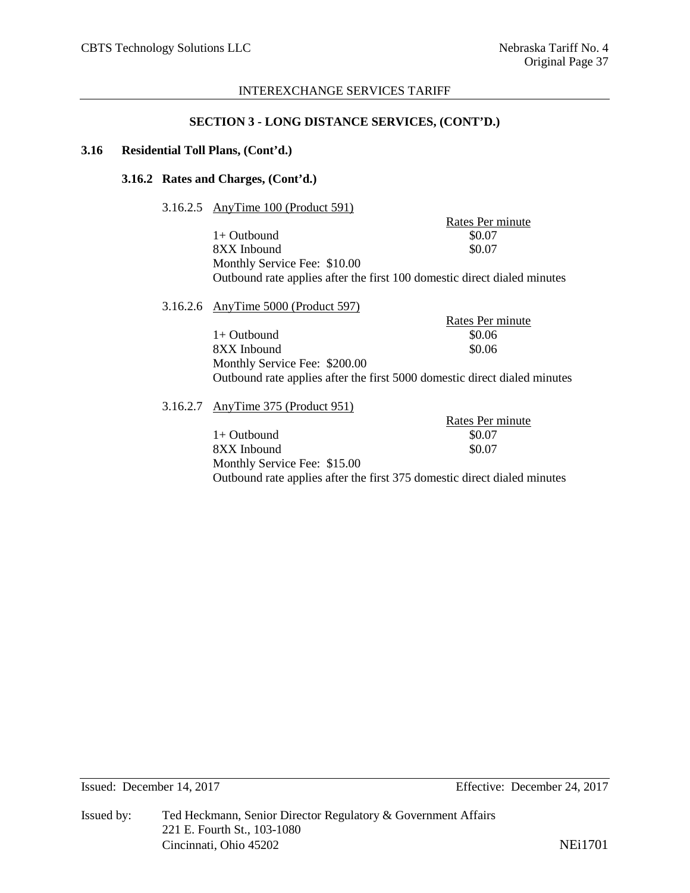#### **SECTION 3 - LONG DISTANCE SERVICES, (CONT'D.)**

## **3.16 Residential Toll Plans, (Cont'd.)**

## **3.16.2 Rates and Charges, (Cont'd.)**

## 3.16.2.5 AnyTime 100 (Product 591)

Rates Per minute<br>\$0.07 1+ Outbound \$0.07<br>8XX Inbound \$0.07 8XX Inbound Monthly Service Fee: \$10.00 Outbound rate applies after the first 100 domestic direct dialed minutes

| 3.16.2.6 AnyTime 5000 (Product 597) |                  |
|-------------------------------------|------------------|
|                                     | Rates Per minute |
| $1+$ Outbound                       | \$0.06           |
| 8XX Inbound                         | \$0.06           |
| Monthly Service Fee: \$200.00       |                  |

Outbound rate applies after the first 5000 domestic direct dialed minutes

3.16.2.7 AnyTime 375 (Product 951)

Rates Per minute<br>\$0.07 1+ Outbound \$0.07<br>8XX Inbound \$0.07 8XX Inbound Monthly Service Fee: \$15.00 Outbound rate applies after the first 375 domestic direct dialed minutes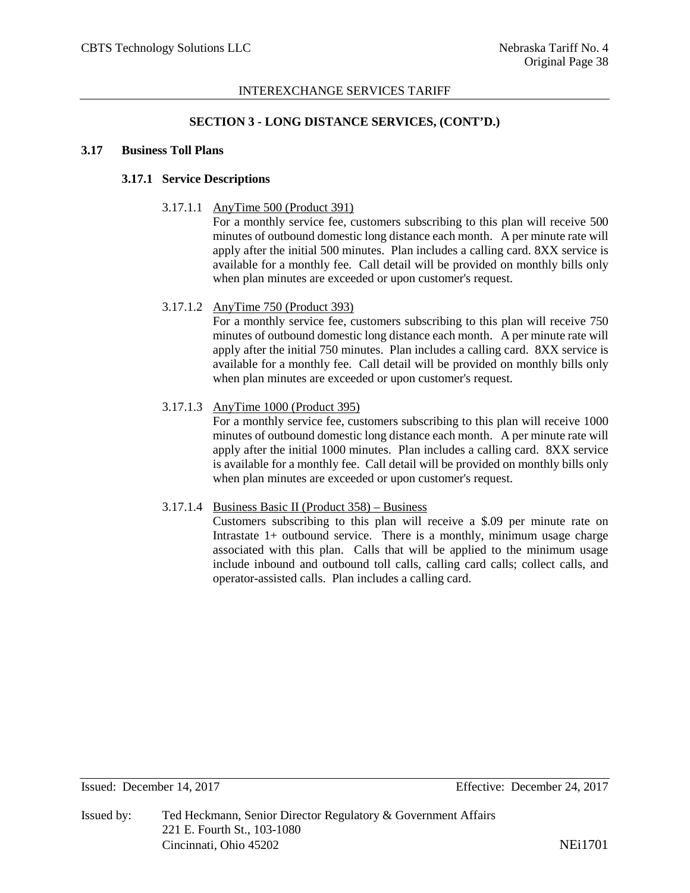## **SECTION 3 - LONG DISTANCE SERVICES, (CONT'D.)**

#### **3.17 Business Toll Plans**

# **3.17.1 Service Descriptions**

## 3.17.1.1 AnyTime 500 (Product 391)

For a monthly service fee, customers subscribing to this plan will receive 500 minutes of outbound domestic long distance each month. A per minute rate will apply after the initial 500 minutes. Plan includes a calling card. 8XX service is available for a monthly fee. Call detail will be provided on monthly bills only when plan minutes are exceeded or upon customer's request.

## 3.17.1.2 AnyTime 750 (Product 393)

For a monthly service fee, customers subscribing to this plan will receive 750 minutes of outbound domestic long distance each month. A per minute rate will apply after the initial 750 minutes. Plan includes a calling card. 8XX service is available for a monthly fee. Call detail will be provided on monthly bills only when plan minutes are exceeded or upon customer's request.

## 3.17.1.3 AnyTime 1000 (Product 395)

For a monthly service fee, customers subscribing to this plan will receive 1000 minutes of outbound domestic long distance each month. A per minute rate will apply after the initial 1000 minutes. Plan includes a calling card. 8XX service is available for a monthly fee. Call detail will be provided on monthly bills only when plan minutes are exceeded or upon customer's request.

#### 3.17.1.4 Business Basic II (Product 358) – Business

Customers subscribing to this plan will receive a \$.09 per minute rate on Intrastate 1+ outbound service. There is a monthly, minimum usage charge associated with this plan. Calls that will be applied to the minimum usage include inbound and outbound toll calls, calling card calls; collect calls, and operator-assisted calls. Plan includes a calling card.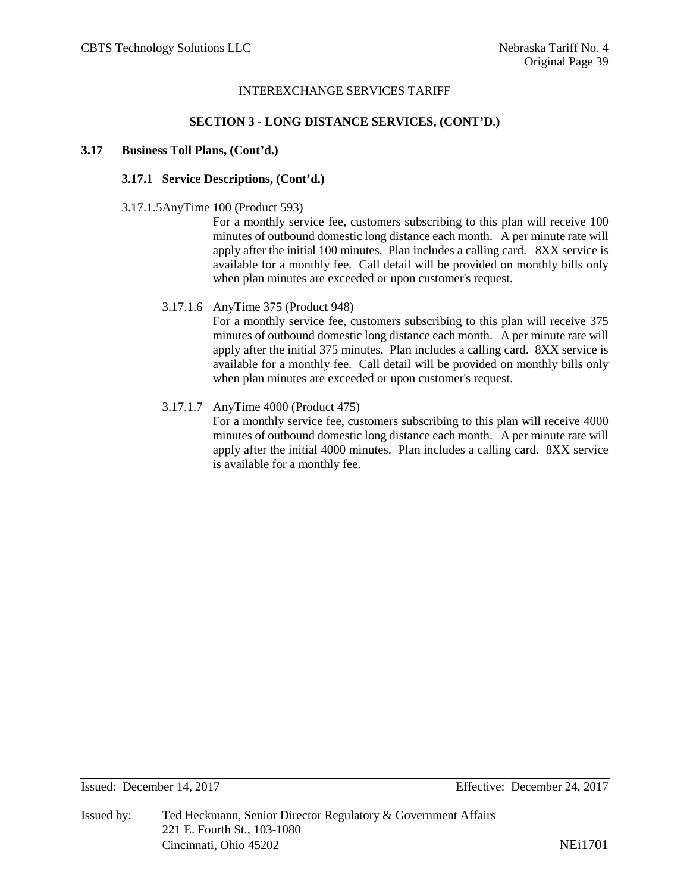#### **SECTION 3 - LONG DISTANCE SERVICES, (CONT'D.)**

## **3.17 Business Toll Plans, (Cont'd.)**

## **3.17.1 Service Descriptions, (Cont'd.)**

#### 3.17.1.5AnyTime 100 (Product 593)

For a monthly service fee, customers subscribing to this plan will receive 100 minutes of outbound domestic long distance each month. A per minute rate will apply after the initial 100 minutes. Plan includes a calling card. 8XX service is available for a monthly fee. Call detail will be provided on monthly bills only when plan minutes are exceeded or upon customer's request.

## 3.17.1.6 AnyTime 375 (Product 948)

For a monthly service fee, customers subscribing to this plan will receive 375 minutes of outbound domestic long distance each month. A per minute rate will apply after the initial 375 minutes. Plan includes a calling card. 8XX service is available for a monthly fee. Call detail will be provided on monthly bills only when plan minutes are exceeded or upon customer's request.

## 3.17.1.7 AnyTime 4000 (Product 475)

For a monthly service fee, customers subscribing to this plan will receive 4000 minutes of outbound domestic long distance each month. A per minute rate will apply after the initial 4000 minutes. Plan includes a calling card. 8XX service is available for a monthly fee.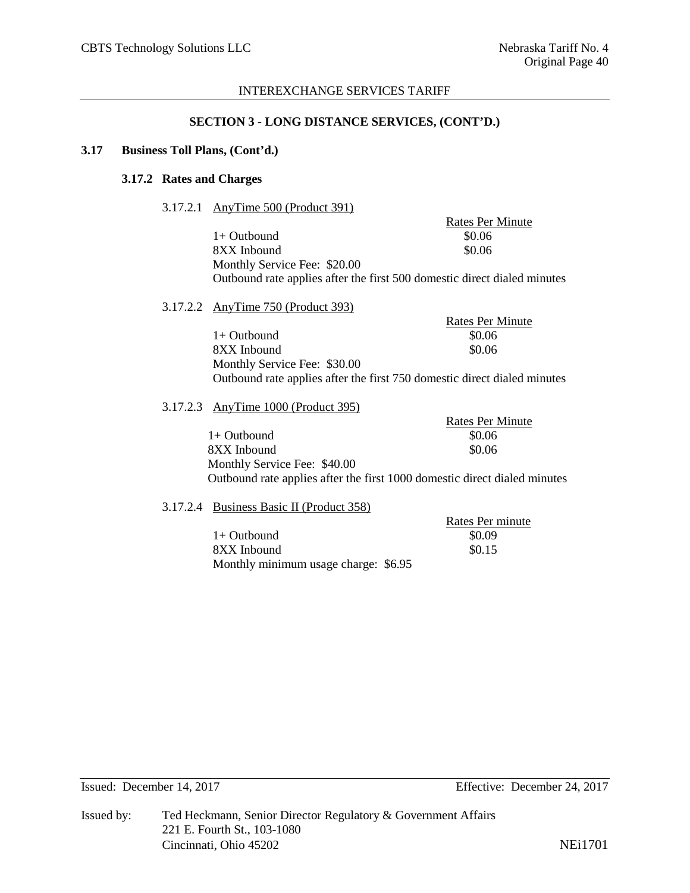#### **SECTION 3 - LONG DISTANCE SERVICES, (CONT'D.)**

## **3.17 Business Toll Plans, (Cont'd.)**

# **3.17.2 Rates and Charges**

3.17.2.1 AnyTime 500 (Product 391)

Rates Per Minute  $1+$  Outbound  $$0.06$ 8XX Inbound \$0.06 Monthly Service Fee: \$20.00 Outbound rate applies after the first 500 domestic direct dialed minutes

3.17.2.2 AnyTime 750 (Product 393)

Rates Per Minute  $1+$  Outbound  $$0.06$ 8XX Inbound \$0.06 Monthly Service Fee: \$30.00 Outbound rate applies after the first 750 domestic direct dialed minutes

3.17.2.3 AnyTime 1000 (Product 395)

Rates Per Minute  $1+$  Outbound  $$0.06$ 8XX Inbound \$0.06 Monthly Service Fee: \$40.00 Outbound rate applies after the first 1000 domestic direct dialed minutes

#### 3.17.2.4 Business Basic II (Product 358)

Rates Per minute  $1+$  Outbound  $$0.09$  $8XX$  Inbound  $$0.15$ Monthly minimum usage charge: \$6.95